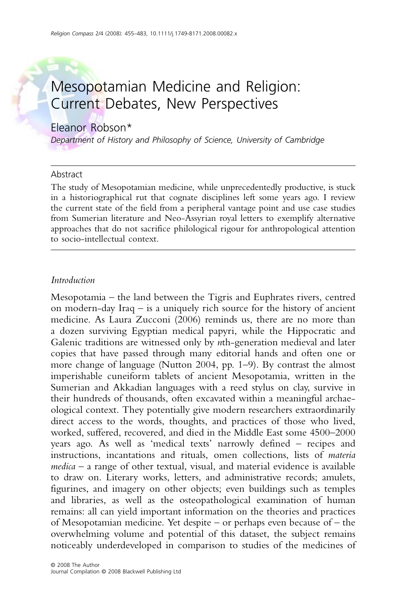# Mesopotamian Medicine and Religion: Current Debates, New Perspectives

### Eleanor Robson\*

*Department of History and Philosophy of Science, University of Cambridge*

#### Abstract

The study of Mesopotamian medicine, while unprecedentedly productive, is stuck in a historiographical rut that cognate disciplines left some years ago. I review the current state of the field from a peripheral vantage point and use case studies from Sumerian literature and Neo-Assyrian royal letters to exemplify alternative approaches that do not sacrifice philological rigour for anthropological attention to socio-intellectual context.

#### *Introduction*

Mesopotamia – the land between the Tigris and Euphrates rivers, centred on modern-day Iraq – is a uniquely rich source for the history of ancient medicine. As Laura Zucconi (2006) reminds us, there are no more than a dozen surviving Egyptian medical papyri, while the Hippocratic and Galenic traditions are witnessed only by *n*th-generation medieval and later copies that have passed through many editorial hands and often one or more change of language (Nutton 2004, pp. 1–9). By contrast the almost imperishable cuneiform tablets of ancient Mesopotamia, written in the Sumerian and Akkadian languages with a reed stylus on clay, survive in their hundreds of thousands, often excavated within a meaningful archaeological context. They potentially give modern researchers extraordinarily direct access to the words, thoughts, and practices of those who lived, worked, suffered, recovered, and died in the Middle East some 4500–2000 years ago. As well as 'medical texts' narrowly defined – recipes and instructions, incantations and rituals, omen collections, lists of *materia medica* – a range of other textual, visual, and material evidence is available to draw on. Literary works, letters, and administrative records; amulets, figurines, and imagery on other objects; even buildings such as temples and libraries, as well as the osteopathological examination of human remains: all can yield important information on the theories and practices of Mesopotamian medicine. Yet despite – or perhaps even because of – the overwhelming volume and potential of this dataset, the subject remains noticeably underdeveloped in comparison to studies of the medicines of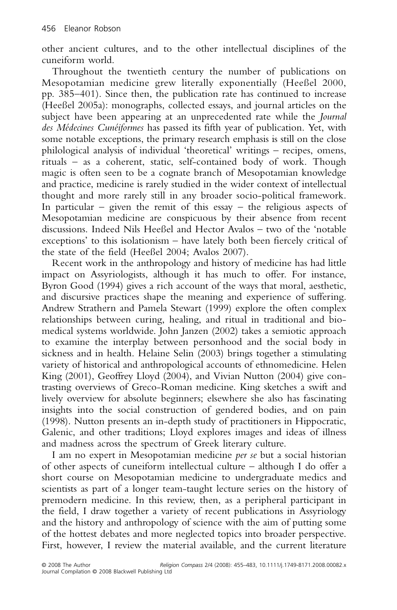other ancient cultures, and to the other intellectual disciplines of the cuneiform world.

Throughout the twentieth century the number of publications on Mesopotamian medicine grew literally exponentially (Heeßel 2000, pp. 385–401). Since then, the publication rate has continued to increase (Heeßel 2005a): monographs, collected essays, and journal articles on the subject have been appearing at an unprecedented rate while the *Journal des Médecines Cunéiformes* has passed its fifth year of publication. Yet, with some notable exceptions, the primary research emphasis is still on the close philological analysis of individual 'theoretical' writings – recipes, omens, rituals – as a coherent, static, self-contained body of work. Though magic is often seen to be a cognate branch of Mesopotamian knowledge and practice, medicine is rarely studied in the wider context of intellectual thought and more rarely still in any broader socio-political framework. In particular – given the remit of this essay – the religious aspects of Mesopotamian medicine are conspicuous by their absence from recent discussions. Indeed Nils Heeßel and Hector Avalos – two of the 'notable exceptions' to this isolationism – have lately both been fiercely critical of the state of the field (Heeßel 2004; Avalos 2007).

Recent work in the anthropology and history of medicine has had little impact on Assyriologists, although it has much to offer. For instance, Byron Good (1994) gives a rich account of the ways that moral, aesthetic, and discursive practices shape the meaning and experience of suffering. Andrew Strathern and Pamela Stewart (1999) explore the often complex relationships between curing, healing, and ritual in traditional and biomedical systems worldwide. John Janzen (2002) takes a semiotic approach to examine the interplay between personhood and the social body in sickness and in health. Helaine Selin (2003) brings together a stimulating variety of historical and anthropological accounts of ethnomedicine. Helen King (2001), Geoffrey Lloyd (2004), and Vivian Nutton (2004) give contrasting overviews of Greco-Roman medicine. King sketches a swift and lively overview for absolute beginners; elsewhere she also has fascinating insights into the social construction of gendered bodies, and on pain (1998). Nutton presents an in-depth study of practitioners in Hippocratic, Galenic, and other traditions; Lloyd explores images and ideas of illness and madness across the spectrum of Greek literary culture.

I am no expert in Mesopotamian medicine *per se* but a social historian of other aspects of cuneiform intellectual culture – although I do offer a short course on Mesopotamian medicine to undergraduate medics and scientists as part of a longer team-taught lecture series on the history of premodern medicine. In this review, then, as a peripheral participant in the field, I draw together a variety of recent publications in Assyriology and the history and anthropology of science with the aim of putting some of the hottest debates and more neglected topics into broader perspective. First, however, I review the material available, and the current literature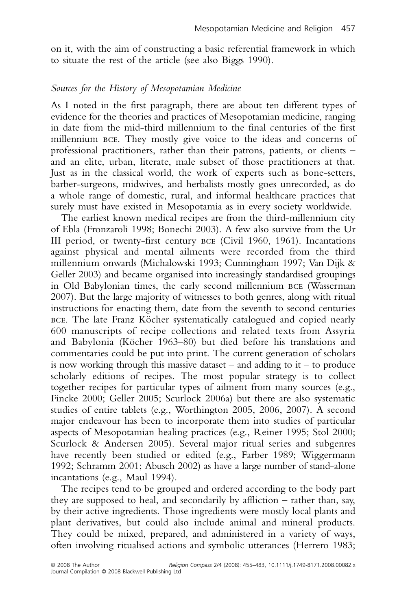on it, with the aim of constructing a basic referential framework in which to situate the rest of the article (see also Biggs 1990).

#### *Sources for the History of Mesopotamian Medicine*

As I noted in the first paragraph, there are about ten different types of evidence for the theories and practices of Mesopotamian medicine, ranging in date from the mid-third millennium to the final centuries of the first millennium bce. They mostly give voice to the ideas and concerns of professional practitioners, rather than their patrons, patients, or clients – and an elite, urban, literate, male subset of those practitioners at that. Just as in the classical world, the work of experts such as bone-setters, barber-surgeons, midwives, and herbalists mostly goes unrecorded, as do a whole range of domestic, rural, and informal healthcare practices that surely must have existed in Mesopotamia as in every society worldwide.

The earliest known medical recipes are from the third-millennium city of Ebla (Fronzaroli 1998; Bonechi 2003). A few also survive from the Ur III period, or twenty-first century bce (Civil 1960, 1961). Incantations against physical and mental ailments were recorded from the third millennium onwards (Michalowski 1993; Cunningham 1997; Van Dijk & Geller 2003) and became organised into increasingly standardised groupings in Old Babylonian times, the early second millennium bce (Wasserman 2007). But the large majority of witnesses to both genres, along with ritual instructions for enacting them, date from the seventh to second centuries bce. The late Franz Köcher systematically catalogued and copied nearly 600 manuscripts of recipe collections and related texts from Assyria and Babylonia (Köcher 1963–80) but died before his translations and commentaries could be put into print. The current generation of scholars is now working through this massive dataset  $-$  and adding to it  $-$  to produce scholarly editions of recipes. The most popular strategy is to collect together recipes for particular types of ailment from many sources (e.g., Fincke 2000; Geller 2005; Scurlock 2006a) but there are also systematic studies of entire tablets (e.g., Worthington 2005, 2006, 2007). A second major endeavour has been to incorporate them into studies of particular aspects of Mesopotamian healing practices (e.g., Reiner 1995; Stol 2000; Scurlock & Andersen 2005). Several major ritual series and subgenres have recently been studied or edited (e.g., Farber 1989; Wiggermann 1992; Schramm 2001; Abusch 2002) as have a large number of stand-alone incantations (e.g., Maul 1994).

The recipes tend to be grouped and ordered according to the body part they are supposed to heal, and secondarily by affliction – rather than, say, by their active ingredients. Those ingredients were mostly local plants and plant derivatives, but could also include animal and mineral products. They could be mixed, prepared, and administered in a variety of ways, often involving ritualised actions and symbolic utterances (Herrero 1983;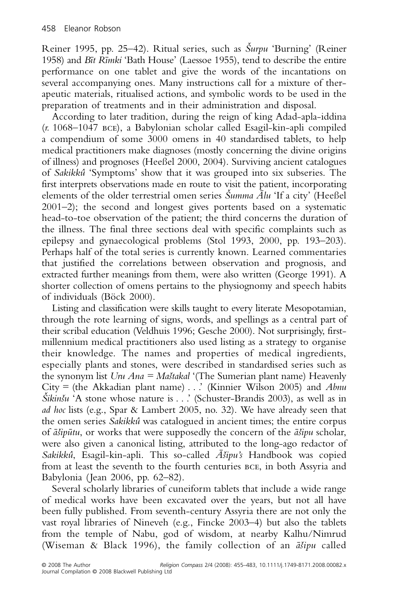Reiner 1995, pp. 25–42). Ritual series, such as *Šurpu* 'Burning' (Reiner 1958) and *B*ï*t R*ï*mki* 'Bath House' (Laessoe 1955), tend to describe the entire performance on one tablet and give the words of the incantations on several accompanying ones. Many instructions call for a mixture of therapeutic materials, ritualised actions, and symbolic words to be used in the preparation of treatments and in their administration and disposal.

According to later tradition, during the reign of king Adad-apla-iddina (*r.* 1068–1047 bce), a Babylonian scholar called Esagil-kin-apli compiled a compendium of some 3000 omens in 40 standardised tablets, to help medical practitioners make diagnoses (mostly concerning the divine origins of illness) and prognoses (Heeßel 2000, 2004). Surviving ancient catalogues of *Sakikkû* 'Symptoms' show that it was grouped into six subseries. The first interprets observations made en route to visit the patient, incorporating elements of the older terrestrial omen series *Šumma* Ä*lu* 'If a city' (Heeßel 2001–2); the second and longest gives portents based on a systematic head-to-toe observation of the patient; the third concerns the duration of the illness. The final three sections deal with specific complaints such as epilepsy and gynaecological problems (Stol 1993, 2000, pp. 193–203). Perhaps half of the total series is currently known. Learned commentaries that justified the correlations between observation and prognosis, and extracted further meanings from them, were also written (George 1991). A shorter collection of omens pertains to the physiognomy and speech habits of individuals (Böck 2000).

Listing and classification were skills taught to every literate Mesopotamian, through the rote learning of signs, words, and spellings as a central part of their scribal education (Veldhuis 1996; Gesche 2000). Not surprisingly, firstmillennium medical practitioners also used listing as a strategy to organise their knowledge. The names and properties of medical ingredients, especially plants and stones, were described in standardised series such as the synonym list *Uru Ana = Maštakal* '(The Sumerian plant name) Heavenly City = (the Akkadian plant name) . . .' (Kinnier Wilson 2005) and *Abnu Šikinšu* 'A stone whose nature is . . .' (Schuster-Brandis 2003), as well as in *ad hoc* lists (e.g., Spar & Lambert 2005, no. 32). We have already seen that the omen series *Sakikkû* was catalogued in ancient times; the entire corpus of â*šip*û*tu*, or works that were supposedly the concern of the â*šipu* scholar, were also given a canonical listing, attributed to the long-ago redactor of *Sakikkû*, Esagil-kin-apli. This so-called Ä*šipu's* Handbook was copied from at least the seventh to the fourth centuries bce, in both Assyria and Babylonia (Jean 2006, pp. 62–82).

Several scholarly libraries of cuneiform tablets that include a wide range of medical works have been excavated over the years, but not all have been fully published. From seventh-century Assyria there are not only the vast royal libraries of Nineveh (e.g., Fincke 2003–4) but also the tablets from the temple of Nabu, god of wisdom, at nearby Kalhu/Nimrud (Wiseman & Black 1996), the family collection of an â*šipu* called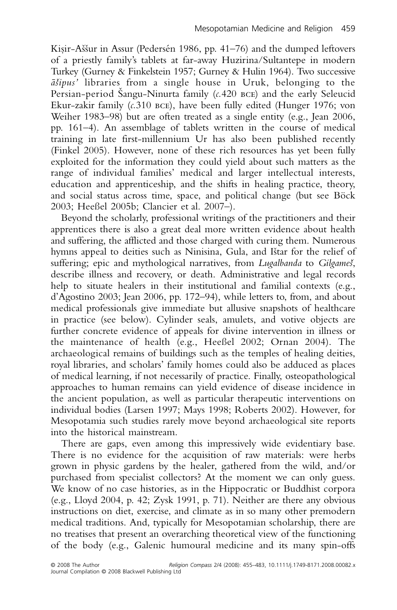Kišir-Aššur in Assur (Pedersén 1986, pp. 41–76) and the dumped leftovers of a priestly family's tablets at far-away Huzirina/Sultantepe in modern Turkey (Gurney & Finkelstein 1957; Gurney & Hulin 1964). Two successive â*šipus'* libraries from a single house in Uruk, belonging to the Persian-period Šangu-Ninurta family (*c.*420 bce) and the early Seleucid Ekur-zakir family (*c.*310 bce), have been fully edited (Hunger 1976; von Weiher 1983–98) but are often treated as a single entity (e.g., Jean 2006, pp. 161–4). An assemblage of tablets written in the course of medical training in late first-millennium Ur has also been published recently (Finkel 2005). However, none of these rich resources has yet been fully exploited for the information they could yield about such matters as the range of individual families' medical and larger intellectual interests, education and apprenticeship, and the shifts in healing practice, theory, and social status across time, space, and political change (but see Böck 2003; Heeßel 2005b; Clancier et al. 2007–).

Beyond the scholarly, professional writings of the practitioners and their apprentices there is also a great deal more written evidence about health and suffering, the afflicted and those charged with curing them. Numerous hymns appeal to deities such as Ninisina, Gula, and Ištar for the relief of suffering; epic and mythological narratives, from *Lugalbanda* to *Gilgameš*, describe illness and recovery, or death. Administrative and legal records help to situate healers in their institutional and familial contexts (e.g., d'Agostino 2003; Jean 2006, pp. 172–94), while letters to, from, and about medical professionals give immediate but allusive snapshots of healthcare in practice (see below). Cylinder seals, amulets, and votive objects are further concrete evidence of appeals for divine intervention in illness or the maintenance of health (e.g., Heeßel 2002; Ornan 2004). The archaeological remains of buildings such as the temples of healing deities, royal libraries, and scholars' family homes could also be adduced as places of medical learning, if not necessarily of practice. Finally, osteopathological approaches to human remains can yield evidence of disease incidence in the ancient population, as well as particular therapeutic interventions on individual bodies (Larsen 1997; Mays 1998; Roberts 2002). However, for Mesopotamia such studies rarely move beyond archaeological site reports into the historical mainstream.

There are gaps, even among this impressively wide evidentiary base. There is no evidence for the acquisition of raw materials: were herbs grown in physic gardens by the healer, gathered from the wild, and/or purchased from specialist collectors? At the moment we can only guess. We know of no case histories, as in the Hippocratic or Buddhist corpora (e.g., Lloyd 2004, p. 42; Zysk 1991, p. 71). Neither are there any obvious instructions on diet, exercise, and climate as in so many other premodern medical traditions. And, typically for Mesopotamian scholarship, there are no treatises that present an overarching theoretical view of the functioning of the body (e.g., Galenic humoural medicine and its many spin-offs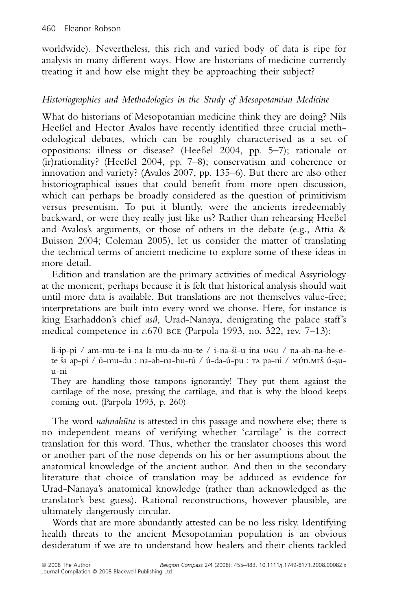worldwide). Nevertheless, this rich and varied body of data is ripe for analysis in many different ways. How are historians of medicine currently treating it and how else might they be approaching their subject?

## *Historiographies and Methodologies in the Study of Mesopotamian Medicine*

What do historians of Mesopotamian medicine think they are doing? Nils Heeßel and Hector Avalos have recently identified three crucial methodological debates, which can be roughly characterised as a set of oppositions: illness or disease? (Heeßel 2004, pp. 5–7); rationale or (ir)rationality? (Heeßel 2004, pp. 7–8); conservatism and coherence or innovation and variety? (Avalos 2007, pp. 135–6). But there are also other historiographical issues that could benefit from more open discussion, which can perhaps be broadly considered as the question of primitivism versus presentism. To put it bluntly, were the ancients irredeemably backward, or were they really just like us? Rather than rehearsing Heeßel and Avalos's arguments, or those of others in the debate (e.g., Attia & Buisson 2004; Coleman 2005), let us consider the matter of translating the technical terms of ancient medicine to explore some of these ideas in more detail.

Edition and translation are the primary activities of medical Assyriology at the moment, perhaps because it is felt that historical analysis should wait until more data is available. But translations are not themselves value-free; interpretations are built into every word we choose. Here, for instance is king Esarhaddon's chief *asû*, Urad-Nanaya, denigrating the palace staff's medical competence in *c*.670 bce (Parpola 1993, no. 322, rev. 7–13):

li-ip-pi / am-mu-te i-na la mu-da-nu-te / i-na-ši-u ina ugu / na-ah-na-he-ete ša ap-pi / ú-mu-du : na-ah-na-hu-tú / ú-da-ú-pu : ta pa-ni / múd.meš ú-šuu-ni

They are handling those tampons ignorantly! They put them against the cartilage of the nose, pressing the cartilage, and that is why the blood keeps coming out. (Parpola 1993, p. 260)

The word *nahnah*û*tu* is attested in this passage and nowhere else; there is no independent means of verifying whether 'cartilage' is the correct translation for this word. Thus, whether the translator chooses this word or another part of the nose depends on his or her assumptions about the anatomical knowledge of the ancient author. And then in the secondary literature that choice of translation may be adduced as evidence for Urad-Nanaya's anatomical knowledge (rather than acknowledged as the translator's best guess). Rational reconstructions, however plausible, are ultimately dangerously circular.

Words that are more abundantly attested can be no less risky. Identifying health threats to the ancient Mesopotamian population is an obvious desideratum if we are to understand how healers and their clients tackled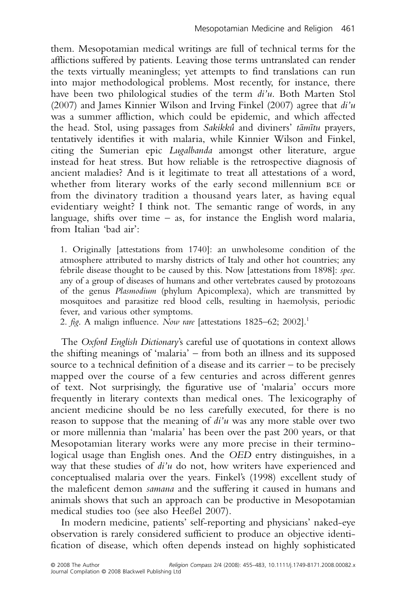them. Mesopotamian medical writings are full of technical terms for the afflictions suffered by patients. Leaving those terms untranslated can render the texts virtually meaningless; yet attempts to find translations can run into major methodological problems. Most recently, for instance, there have been two philological studies of the term *di'u*. Both Marten Stol (2007) and James Kinnier Wilson and Irving Finkel (2007) agree that *di'u* was a summer affliction, which could be epidemic, and which affected the head. Stol, using passages from *Sakikkû* and diviners' *t*â*m*ï*tu* prayers, tentatively identifies it with malaria, while Kinnier Wilson and Finkel, citing the Sumerian epic *Lugalbanda* amongst other literature, argue instead for heat stress. But how reliable is the retrospective diagnosis of ancient maladies? And is it legitimate to treat all attestations of a word, whether from literary works of the early second millennium bce or from the divinatory tradition a thousand years later, as having equal evidentiary weight? I think not. The semantic range of words, in any language, shifts over time  $-$  as, for instance the English word malaria, from Italian 'bad air':

1. Originally [attestations from 1740]: an unwholesome condition of the atmosphere attributed to marshy districts of Italy and other hot countries; any febrile disease thought to be caused by this. Now [attestations from 1898]: *spec*. any of a group of diseases of humans and other vertebrates caused by protozoans of the genus *Plasmodium* (phylum Apicomplexa), which are transmitted by mosquitoes and parasitize red blood cells, resulting in haemolysis, periodic fever, and various other symptoms.

2. *fig.* A malign influence. *Now rare* [attestations 1825–62; 2002].<sup>1</sup>

The *Oxford English Dictionary*'s careful use of quotations in context allows the shifting meanings of 'malaria' – from both an illness and its supposed source to a technical definition of a disease and its carrier – to be precisely mapped over the course of a few centuries and across different genres of text. Not surprisingly, the figurative use of 'malaria' occurs more frequently in literary contexts than medical ones. The lexicography of ancient medicine should be no less carefully executed, for there is no reason to suppose that the meaning of *di'u* was any more stable over two or more millennia than 'malaria' has been over the past 200 years, or that Mesopotamian literary works were any more precise in their terminological usage than English ones. And the *OED* entry distinguishes, in a way that these studies of *di'u* do not, how writers have experienced and conceptualised malaria over the years. Finkel's (1998) excellent study of the maleficent demon *samana* and the suffering it caused in humans and animals shows that such an approach can be productive in Mesopotamian medical studies too (see also Heeßel 2007).

In modern medicine, patients' self-reporting and physicians' naked-eye observation is rarely considered sufficient to produce an objective identification of disease, which often depends instead on highly sophisticated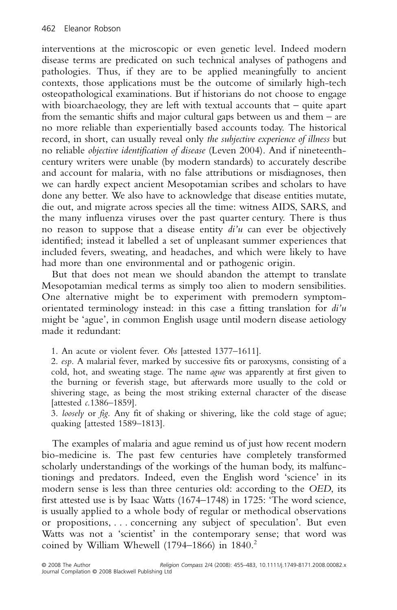interventions at the microscopic or even genetic level. Indeed modern disease terms are predicated on such technical analyses of pathogens and pathologies. Thus, if they are to be applied meaningfully to ancient contexts, those applications must be the outcome of similarly high-tech osteopathological examinations. But if historians do not choose to engage with bioarchaeology, they are left with textual accounts that – quite apart from the semantic shifts and major cultural gaps between us and them – are no more reliable than experientially based accounts today. The historical record, in short, can usually reveal only *the subjective experience of illness* but no reliable *objective identification of disease* (Leven 2004). And if nineteenthcentury writers were unable (by modern standards) to accurately describe and account for malaria, with no false attributions or misdiagnoses, then we can hardly expect ancient Mesopotamian scribes and scholars to have done any better. We also have to acknowledge that disease entities mutate, die out, and migrate across species all the time: witness AIDS, SARS, and the many influenza viruses over the past quarter century. There is thus no reason to suppose that a disease entity *di'u* can ever be objectively identified; instead it labelled a set of unpleasant summer experiences that included fevers, sweating, and headaches, and which were likely to have had more than one environmental and or pathogenic origin.

But that does not mean we should abandon the attempt to translate Mesopotamian medical terms as simply too alien to modern sensibilities. One alternative might be to experiment with premodern symptomorientated terminology instead: in this case a fitting translation for *di'u* might be 'ague', in common English usage until modern disease aetiology made it redundant:

1. An acute or violent fever. *Obs* [attested 1377–1611].

2. *esp*. A malarial fever, marked by successive fits or paroxysms, consisting of a cold, hot, and sweating stage. The name *ague* was apparently at first given to the burning or feverish stage, but afterwards more usually to the cold or shivering stage, as being the most striking external character of the disease [attested *c.*1386–1859].

3. *loosely* or *fig*. Any fit of shaking or shivering, like the cold stage of ague; quaking [attested 1589–1813].

The examples of malaria and ague remind us of just how recent modern bio-medicine is. The past few centuries have completely transformed scholarly understandings of the workings of the human body, its malfunctionings and predators. Indeed, even the English word 'science' in its modern sense is less than three centuries old: according to the *OED*, its first attested use is by Isaac Watts (1674–1748) in 1725: 'The word science, is usually applied to a whole body of regular or methodical observations or propositions, . . . concerning any subject of speculation'. But even Watts was not a 'scientist' in the contemporary sense; that word was coined by William Whewell (1794–1866) in  $1840.<sup>2</sup>$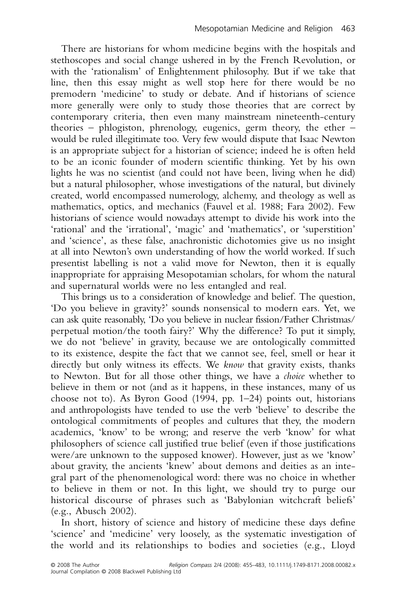There are historians for whom medicine begins with the hospitals and stethoscopes and social change ushered in by the French Revolution, or with the 'rationalism' of Enlightenment philosophy. But if we take that line, then this essay might as well stop here for there would be no premodern 'medicine' to study or debate. And if historians of science more generally were only to study those theories that are correct by contemporary criteria, then even many mainstream nineteenth-century theories – phlogiston, phrenology, eugenics, germ theory, the ether – would be ruled illegitimate too. Very few would dispute that Isaac Newton is an appropriate subject for a historian of science; indeed he is often held to be an iconic founder of modern scientific thinking. Yet by his own lights he was no scientist (and could not have been, living when he did) but a natural philosopher, whose investigations of the natural, but divinely created, world encompassed numerology, alchemy, and theology as well as mathematics, optics, and mechanics (Fauvel et al. 1988; Fara 2002). Few historians of science would nowadays attempt to divide his work into the 'rational' and the 'irrational', 'magic' and 'mathematics', or 'superstition' and 'science', as these false, anachronistic dichotomies give us no insight at all into Newton's own understanding of how the world worked. If such presentist labelling is not a valid move for Newton, then it is equally inappropriate for appraising Mesopotamian scholars, for whom the natural and supernatural worlds were no less entangled and real.

This brings us to a consideration of knowledge and belief. The question, 'Do you believe in gravity?' sounds nonsensical to modern ears. Yet, we can ask quite reasonably, 'Do you believe in nuclear fission/Father Christmas/ perpetual motion/the tooth fairy?' Why the difference? To put it simply, we do not 'believe' in gravity, because we are ontologically committed to its existence, despite the fact that we cannot see, feel, smell or hear it directly but only witness its effects. We *know* that gravity exists, thanks to Newton. But for all those other things, we have a *choice* whether to believe in them or not (and as it happens, in these instances, many of us choose not to). As Byron Good  $(1994, pp. 1–24)$  points out, historians and anthropologists have tended to use the verb 'believe' to describe the ontological commitments of peoples and cultures that they, the modern academics, 'know' to be wrong; and reserve the verb 'know' for what philosophers of science call justified true belief (even if those justifications were/are unknown to the supposed knower). However, just as we 'know' about gravity, the ancients 'knew' about demons and deities as an integral part of the phenomenological word: there was no choice in whether to believe in them or not. In this light, we should try to purge our historical discourse of phrases such as 'Babylonian witchcraft beliefs' (e.g., Abusch 2002).

In short, history of science and history of medicine these days define 'science' and 'medicine' very loosely, as the systematic investigation of the world and its relationships to bodies and societies (e.g., Lloyd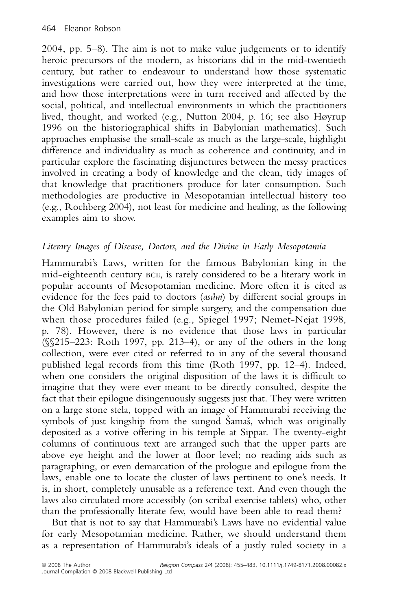2004, pp. 5–8). The aim is not to make value judgements or to identify heroic precursors of the modern, as historians did in the mid-twentieth century, but rather to endeavour to understand how those systematic investigations were carried out, how they were interpreted at the time, and how those interpretations were in turn received and affected by the social, political, and intellectual environments in which the practitioners lived, thought, and worked (e.g., Nutton 2004, p. 16; see also Høyrup 1996 on the historiographical shifts in Babylonian mathematics). Such approaches emphasise the small-scale as much as the large-scale, highlight difference and individuality as much as coherence and continuity, and in particular explore the fascinating disjunctures between the messy practices involved in creating a body of knowledge and the clean, tidy images of that knowledge that practitioners produce for later consumption. Such methodologies are productive in Mesopotamian intellectual history too (e.g., Rochberg 2004), not least for medicine and healing, as the following examples aim to show.

## *Literary Images of Disease, Doctors, and the Divine in Early Mesopotamia*

Hammurabi's Laws, written for the famous Babylonian king in the mid-eighteenth century bce, is rarely considered to be a literary work in popular accounts of Mesopotamian medicine. More often it is cited as evidence for the fees paid to doctors (*asûm*) by different social groups in the Old Babylonian period for simple surgery, and the compensation due when those procedures failed (e.g., Spiegel 1997; Nemet-Nejat 1998, p. 78). However, there is no evidence that those laws in particular (§§215–223: Roth 1997, pp. 213–4), or any of the others in the long collection, were ever cited or referred to in any of the several thousand published legal records from this time (Roth 1997, pp. 12–4). Indeed, when one considers the original disposition of the laws it is difficult to imagine that they were ever meant to be directly consulted, despite the fact that their epilogue disingenuously suggests just that. They were written on a large stone stela, topped with an image of Hammurabi receiving the symbols of just kingship from the sungod Šamaš, which was originally deposited as a votive offering in his temple at Sippar. The twenty-eight columns of continuous text are arranged such that the upper parts are above eye height and the lower at floor level; no reading aids such as paragraphing, or even demarcation of the prologue and epilogue from the laws, enable one to locate the cluster of laws pertinent to one's needs. It is, in short, completely unusable as a reference text. And even though the laws also circulated more accessibly (on scribal exercise tablets) who, other than the professionally literate few, would have been able to read them?

But that is not to say that Hammurabi's Laws have no evidential value for early Mesopotamian medicine. Rather, we should understand them as a representation of Hammurabi's ideals of a justly ruled society in a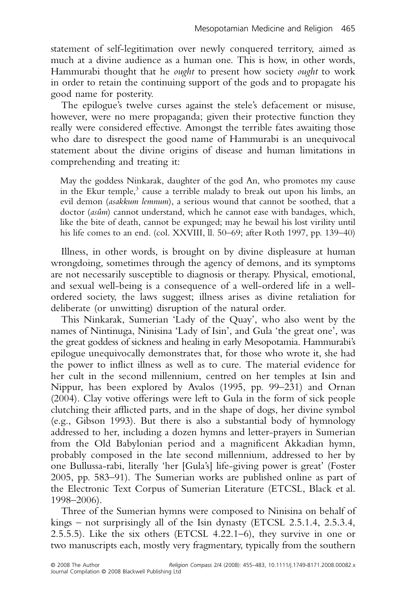statement of self-legitimation over newly conquered territory, aimed as much at a divine audience as a human one. This is how, in other words, Hammurabi thought that he *ought* to present how society *ought* to work in order to retain the continuing support of the gods and to propagate his good name for posterity.

The epilogue's twelve curses against the stele's defacement or misuse, however, were no mere propaganda; given their protective function they really were considered effective. Amongst the terrible fates awaiting those who dare to disrespect the good name of Hammurabi is an unequivocal statement about the divine origins of disease and human limitations in comprehending and treating it:

May the goddess Ninkarak, daughter of the god An, who promotes my cause in the Ekur temple,<sup>3</sup> cause a terrible malady to break out upon his limbs, an evil demon (*asakkum lemnum*), a serious wound that cannot be soothed, that a doctor (*asûm*) cannot understand, which he cannot ease with bandages, which, like the bite of death, cannot be expunged; may he bewail his lost virility until his life comes to an end. (col. XXVIII, ll. 50–69; after Roth 1997, pp. 139–40)

Illness, in other words, is brought on by divine displeasure at human wrongdoing, sometimes through the agency of demons, and its symptoms are not necessarily susceptible to diagnosis or therapy. Physical, emotional, and sexual well-being is a consequence of a well-ordered life in a wellordered society, the laws suggest; illness arises as divine retaliation for deliberate (or unwitting) disruption of the natural order.

This Ninkarak, Sumerian 'Lady of the Quay', who also went by the names of Nintinuga, Ninisina 'Lady of Isin', and Gula 'the great one', was the great goddess of sickness and healing in early Mesopotamia. Hammurabi's epilogue unequivocally demonstrates that, for those who wrote it, she had the power to inflict illness as well as to cure. The material evidence for her cult in the second millennium, centred on her temples at Isin and Nippur, has been explored by Avalos (1995, pp. 99–231) and Ornan (2004). Clay votive offerings were left to Gula in the form of sick people clutching their afflicted parts, and in the shape of dogs, her divine symbol (e.g., Gibson 1993). But there is also a substantial body of hymnology addressed to her, including a dozen hymns and letter-prayers in Sumerian from the Old Babylonian period and a magnificent Akkadian hymn, probably composed in the late second millennium, addressed to her by one Bullussa-rabi, literally 'her [Gula's] life-giving power is great' (Foster 2005, pp. 583–91). The Sumerian works are published online as part of the Electronic Text Corpus of Sumerian Literature (ETCSL, Black et al. 1998–2006).

Three of the Sumerian hymns were composed to Ninisina on behalf of kings – not surprisingly all of the Isin dynasty (ETCSL 2.5.1.4, 2.5.3.4, 2.5.5.5). Like the six others (ETCSL 4.22.1–6), they survive in one or two manuscripts each, mostly very fragmentary, typically from the southern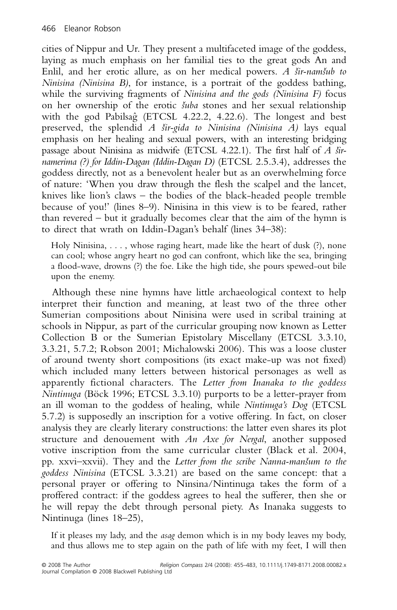cities of Nippur and Ur. They present a multifaceted image of the goddess, laying as much emphasis on her familial ties to the great gods An and Enlil, and her erotic allure, as on her medical powers. *A šir-namšub to Ninisina (Ninisina B)*, for instance, is a portrait of the goddess bathing, while the surviving fragments of *Ninisina and the gods (Ninisina F)* focus on her ownership of the erotic *šuba* stones and her sexual relationship with the god Pabilsaĝ (ETCSL 4.22.2, 4.22.6). The longest and best preserved, the splendid *A šir-gida to Ninisina (Ninisina A)* lays equal emphasis on her healing and sexual powers, with an interesting bridging passage about Ninisina as midwife (ETCSL 4.22.1). The first half of *A širnamerima (?) for Iddin-Dagan (Iddin-Dagan D)* (ETCSL 2.5.3.4), addresses the goddess directly, not as a benevolent healer but as an overwhelming force of nature: 'When you draw through the flesh the scalpel and the lancet, knives like lion's claws – the bodies of the black-headed people tremble because of you!' (lines 8–9). Ninisina in this view is to be feared, rather than revered – but it gradually becomes clear that the aim of the hymn is to direct that wrath on Iddin-Dagan's behalf (lines 34–38):

Holy Ninisina, . . . , whose raging heart, made like the heart of dusk (?), none can cool; whose angry heart no god can confront, which like the sea, bringing a flood-wave, drowns (?) the foe. Like the high tide, she pours spewed-out bile upon the enemy.

Although these nine hymns have little archaeological context to help interpret their function and meaning, at least two of the three other Sumerian compositions about Ninisina were used in scribal training at schools in Nippur, as part of the curricular grouping now known as Letter Collection B or the Sumerian Epistolary Miscellany (ETCSL 3.3.10, 3.3.21, 5.7.2; Robson 2001; Michalowski 2006). This was a loose cluster of around twenty short compositions (its exact make-up was not fixed) which included many letters between historical personages as well as apparently fictional characters. The *Letter from Inanaka to the goddess Nintinuga* (Böck 1996; ETCSL 3.3.10) purports to be a letter-prayer from an ill woman to the goddess of healing, while *Nintinuga's Dog* (ETCSL 5.7.2) is supposedly an inscription for a votive offering. In fact, on closer analysis they are clearly literary constructions: the latter even shares its plot structure and denouement with *An Axe for Nergal*, another supposed votive inscription from the same curricular cluster (Black et al. 2004, pp. xxvi–xxvii). They and the *Letter from the scribe Nanna-manšum to the goddess Ninisina* (ETCSL 3.3.21) are based on the same concept: that a personal prayer or offering to Ninsina/Nintinuga takes the form of a proffered contract: if the goddess agrees to heal the sufferer, then she or he will repay the debt through personal piety. As Inanaka suggests to Nintinuga (lines 18–25),

If it pleases my lady, and the *asag* demon which is in my body leaves my body, and thus allows me to step again on the path of life with my feet, I will then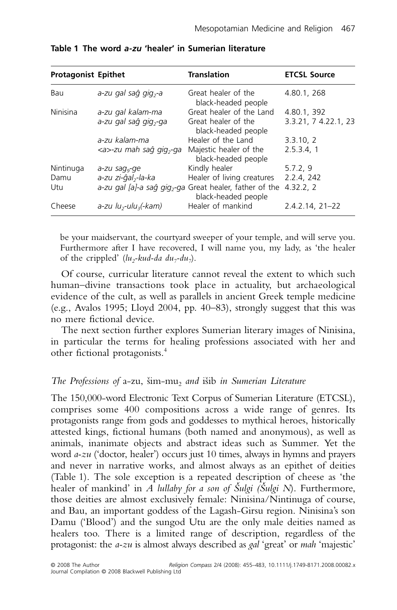| <b>Protagonist Epithet</b> |                                               | <b>Translation</b>                                                            | <b>ETCSL Source</b>  |
|----------------------------|-----------------------------------------------|-------------------------------------------------------------------------------|----------------------|
| Bau                        | a-zu gal saĝ gig <sub>2</sub> -a              | Great healer of the<br>black-headed people                                    | 4.80.1, 268          |
| Ninisina                   | a-zu gal kalam-ma                             | Great healer of the Land                                                      | 4.80.1, 392          |
|                            | a-zu gal saĝ gig <sub>2</sub> -ga             | Great healer of the<br>black-headed people                                    | 3.3.21, 7 4.22.1, 23 |
|                            | a-zu kalam-ma                                 | Healer of the Land                                                            | 3.3.10, 2            |
|                            | <a>-zu mah saĝ gig<sub>2</sub>-ga</a>         | Majestic healer of the<br>black-headed people                                 | 2.5.3.4, 1           |
| Nintinuga                  | $a$ -zu sag $q$ -ge                           | Kindly healer                                                                 | 5.7.2, 9             |
| Damu                       | a-zu zi-ĝal,-la-ka                            | Healer of living creatures                                                    | 2.2.4, 242           |
| Utu                        |                                               | a-zu gal [a]-a saĝ gig,-ga Great healer, father of the<br>black-headed people | 4.32.2, 2            |
| Cheese                     | a-zu lu <sub>2</sub> -ulu <sub>2</sub> (-kam) | Healer of mankind                                                             | $2.4.2.14, 21 - 22$  |

**Table 1 The word** *a-zu* **'healer' in Sumerian literature**

be your maidservant, the courtyard sweeper of your temple, and will serve you. Furthermore after I have recovered, I will name you, my lady, as 'the healer of the crippled'  $(lu_2-kud-da du_7-du_7)$ .

Of course, curricular literature cannot reveal the extent to which such human–divine transactions took place in actuality, but archaeological evidence of the cult, as well as parallels in ancient Greek temple medicine (e.g., Avalos 1995; Lloyd 2004, pp. 40–83), strongly suggest that this was no mere fictional device.

The next section further explores Sumerian literary images of Ninisina, in particular the terms for healing professions associated with her and other fictional protagonists.<sup>4</sup>

#### *The Professions of a-zu, šim-mu<sub>2</sub> and išib in Sumerian Literature*

The 150,000-word Electronic Text Corpus of Sumerian Literature (ETCSL), comprises some 400 compositions across a wide range of genres. Its protagonists range from gods and goddesses to mythical heroes, historically attested kings, fictional humans (both named and anonymous), as well as animals, inanimate objects and abstract ideas such as Summer. Yet the word *a-zu* ('doctor, healer') occurs just 10 times, always in hymns and prayers and never in narrative works, and almost always as an epithet of deities (Table 1). The sole exception is a repeated description of cheese as 'the healer of mankind' in *A lullaby for a son of Šulgi (Šulgi N*). Furthermore, those deities are almost exclusively female: Ninisina/Nintinuga of course, and Bau, an important goddess of the Lagash-Girsu region. Ninisina's son Damu ('Blood') and the sungod Utu are the only male deities named as healers too. There is a limited range of description, regardless of the protagonist: the *a-zu* is almost always described as *gal* 'great' or *mah* 'majestic'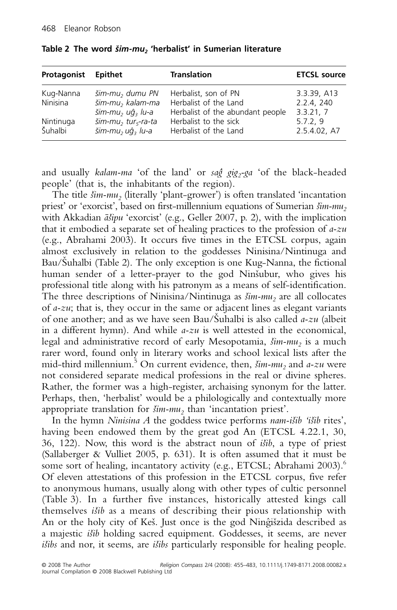| <b>Protagonist Epithet</b> |                                                     | <b>Translation</b>               | <b>ETCSL source</b> |
|----------------------------|-----------------------------------------------------|----------------------------------|---------------------|
| Kug-Nanna                  | šim-mu, dumu PN                                     | Herbalist, son of PN             | 3.3.39, A13         |
| Ninisina                   | šim-mu, kalam-ma                                    | Herbalist of the Land            | 2.2.4, 240          |
|                            | $\sin$ -mu <sub>2</sub> u $\hat{q}$ , lu-a          | Herbalist of the abundant people | 3.3.21.7            |
| Nintinuga                  | $\check{sim}\text{-}mu_{2}$ tur <sub>s</sub> -ra-ta | Herbalist to the sick            | 5.7.2, 9            |
| Šuhalbi                    | $\sin$ -mu <sub>2</sub> u $\hat{q}$ , lu-a          | Herbalist of the Land            | 2.5.4.02, A7        |

| Table 2 The word <i>šim-mu</i> <sub>2</sub> 'herbalist' in Sumerian literature |  |  |  |
|--------------------------------------------------------------------------------|--|--|--|
|--------------------------------------------------------------------------------|--|--|--|

and usually *kalam-ma* 'of the land' or *sag gig<sub>2</sub>-ga* 'of the black-headed people' (that is, the inhabitants of the region).

The title  $\delta$ *im-mu<sub>2</sub>* (literally 'plant-grower') is often translated 'incantation priest' or 'exorcist', based on first-millennium equations of Sumerian  $\ddot{s}$ *m-mu*<sub>2</sub> with Akkadian â*šipu* 'exorcist' (e.g., Geller 2007, p. 2), with the implication that it embodied a separate set of healing practices to the profession of *a-zu* (e.g., Abrahami 2003). It occurs five times in the ETCSL corpus, again almost exclusively in relation to the goddesses Ninisina/Nintinuga and Bau/Šuhalbi (Table 2). The only exception is one Kug-Nanna, the fictional human sender of a letter-prayer to the god Ninšubur, who gives his professional title along with his patronym as a means of self-identification. The three descriptions of Ninisina/Nintinuga as  $\delta m$ -mu<sub>2</sub> are all collocates of *a-zu*; that is, they occur in the same or adjacent lines as elegant variants of one another; and as we have seen Bau/Šuhalbi is also called *a-zu* (albeit in a different hymn). And while *a-zu* is well attested in the economical, legal and administrative record of early Mesopotamia,  $\sin m - m$ , is a much rarer word, found only in literary works and school lexical lists after the mid-third millennium.<sup>5</sup> On current evidence, then, *šim-mu<sub>2</sub>* and *a-zu* were not considered separate medical professions in the real or divine spheres. Rather, the former was a high-register, archaising synonym for the latter. Perhaps, then, 'herbalist' would be a philologically and contextually more appropriate translation for  $\delta m$ -mu<sub>2</sub> than 'incantation priest'.

In the hymn *Ninisina A* the goddess twice performs *nam-išib 'išib* rites', having been endowed them by the great god An (ETCSL 4.22.1, 30, 36, 122). Now, this word is the abstract noun of *išib*, a type of priest (Sallaberger & Vulliet 2005, p. 631). It is often assumed that it must be some sort of healing, incantatory activity (e.g., ETCSL; Abrahami 2003).<sup>6</sup> Of eleven attestations of this profession in the ETCSL corpus, five refer to anonymous humans, usually along with other types of cultic personnel (Table 3). In a further five instances, historically attested kings call themselves *išib* as a means of describing their pious relationship with An or the holy city of Keš. Just once is the god Ningišzida described as a majestic *išib* holding sacred equipment. Goddesses, it seems, are never *išibs* and nor, it seems, are *išibs* particularly responsible for healing people.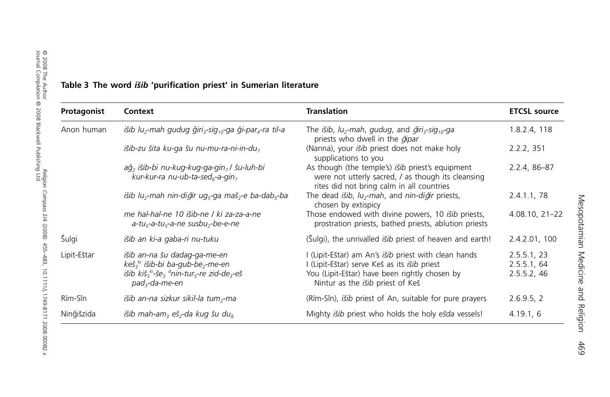| Protagonist | Context                                                                                                                                                                    | <b>Translation</b>                                                                                                                                                                               | <b>ETCSL source</b>                       |
|-------------|----------------------------------------------------------------------------------------------------------------------------------------------------------------------------|--------------------------------------------------------------------------------------------------------------------------------------------------------------------------------------------------|-------------------------------------------|
| Anon human  | išib lu <sub>2</sub> -mah quduq ĝiri <sub>3</sub> -sig <sub>10</sub> -ga ĝi-par <sub>4</sub> -ra til-a                                                                     | The <i>išib</i> , $Iu_2$ -mah, gudug, and $\hat{q}$ iri <sub>3</sub> -sig <sub>10</sub> -ga<br>priests who dwell in the <i>gipar</i>                                                             | 1.8.2.4, 118                              |
|             | išib-zu šita ku-ga šu nu-mu-ra-ni-in-du-                                                                                                                                   | (Nanna), your išib priest does not make holy<br>supplications to you                                                                                                                             | 2.2.2, 351                                |
|             | $a\hat{q}_2$ išib-bi nu-kuq-kuq-qa-qin $_7$ / šu-luh-bi<br>kur-kur-ra nu-ub-ta-sede-a-gin,                                                                                 | As though (the temple's) <i>išib</i> priest's equipment<br>were not utterly sacred, / as though its cleansing<br>rites did not bring calm in all countries                                       | 2.2.4, 86-87                              |
|             | išib lu <sub>2</sub> -mah nin-diĝir ug <sub>5</sub> -ga maš <sub>2</sub> -e ba-dab <sub>5</sub> -ba                                                                        | The dead <i>išib</i> , $Iu_2$ -mah, and nin-digir priests,<br>chosen by extispicy                                                                                                                | 2.4.1.1, 78                               |
|             | me hal-hal-ne 10 išib-ne / ki za-za-a-ne<br>$a$ -tu <sub>s</sub> -a-tu <sub>s</sub> -a-ne susbu <sub>2</sub> -be-e-ne                                                      | Those endowed with divine powers, 10 išib priests,<br>prostration priests, bathed priests, ablution priests                                                                                      | 4.08.10, 21-22                            |
| Šulgi       | išib an ki-a gaba-ri nu-tuku                                                                                                                                               | (Sulgi), the unrivalled <i>išib</i> priest of heaven and earth!                                                                                                                                  | 2.4.2.01, 100                             |
| Lipit-Eštar | išib an-na šu dadag-ga-me-en<br>$ke\zeta_3^{ki}$ išib-bi ba-gub-be <sub>2</sub> -me-en<br>išib kiš $x^k$ -še $x^q$ nin-tur $x^q$ -re zid-de $x^q$ -eš<br>$pad_3$ -da-me-en | I (Lipit-Eštar) am An's išib priest with clean hands<br>I (Lipit-Eštar) serve Keš as its išib priest<br>You (Lipit-Eštar) have been rightly chosen by<br>Nintur as the <i>išib</i> priest of Keš | 2.5.5.1, 23<br>2.5.5.1, 64<br>2.5.5.2, 46 |
| Rīm-Sîn     | išib an-na sizkur sikil-la tum <sub>2</sub> -ma                                                                                                                            | (Rim-Sîn), <i>išib</i> priest of An, suitable for pure prayers                                                                                                                                   | 2.6.9.5, 2                                |
| Ninĝišzida  | išib mah-am, eš,-da kug šu du,                                                                                                                                             | Mighty <i>išib</i> priest who holds the holy esda vessels!                                                                                                                                       | 4.19.1, 6                                 |

## **Table 3 The word** *išib* **'purification priest' in Sumerian literature**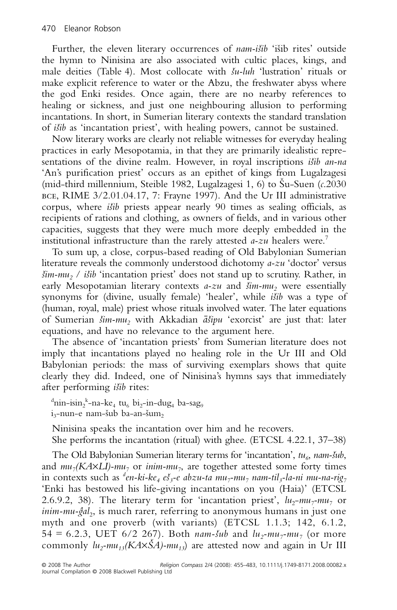Further, the eleven literary occurrences of *nam-išib* 'išib rites' outside the hymn to Ninisina are also associated with cultic places, kings, and male deities (Table 4). Most collocate with *šu-luh* 'lustration' rituals or make explicit reference to water or the Abzu, the freshwater abyss where the god Enki resides. Once again, there are no nearby references to healing or sickness, and just one neighbouring allusion to performing incantations. In short, in Sumerian literary contexts the standard translation of *išib* as 'incantation priest', with healing powers, cannot be sustained.

Now literary works are clearly not reliable witnesses for everyday healing practices in early Mesopotamia, in that they are primarily idealistic representations of the divine realm. However, in royal inscriptions *išib an-na* 'An's purification priest' occurs as an epithet of kings from Lugalzagesi (mid-third millennium, Steible 1982, Lugalzagesi 1, 6) to Šu-Suen (*c*.2030 bce, RIME 3/2.01.04.17, 7: Frayne 1997). And the Ur III administrative corpus, where *išib* priests appear nearly 90 times as sealing officials, as recipients of rations and clothing, as owners of fields, and in various other capacities, suggests that they were much more deeply embedded in the institutional infrastructure than the rarely attested *a-zu* healers were.7

To sum up, a close, corpus-based reading of Old Babylonian Sumerian literature reveals the commonly understood dichotomy *a-zu* 'doctor' versus *šim-mu2* / *išib* 'incantation priest' does not stand up to scrutiny. Rather, in early Mesopotamian literary contexts *a-zu* and  $\delta$ *im-mu<sub>2</sub>* were essentially synonyms for (divine, usually female) 'healer', while *išib* was a type of (human, royal, male) priest whose rituals involved water. The later equations of Sumerian *šim-mu2* with Akkadian â*šipu* 'exorcist' are just that: later equations, and have no relevance to the argument here.

The absence of 'incantation priests' from Sumerian literature does not imply that incantations played no healing role in the Ur III and Old Babylonian periods: the mass of surviving exemplars shows that quite clearly they did. Indeed, one of Ninisina's hymns says that immediately after performing *išib* rites:

 $\mathrm{d}$ nin-isin $_2$ <sup>k</sup>-na-ke<sub>4</sub> tu<sub>6</sub> bi $_2$ -in-dug<sub>4</sub> ba-sag $_9$ i<sub>3</sub>-nun-e nam-šub ba-an-šum<sub>2</sub>

Ninisina speaks the incantation over him and he recovers.

She performs the incantation (ritual) with ghee. (ETCSL 4.22.1, 37–38)

The Old Babylonian Sumerian literary terms for 'incantation', *tu<sub>6</sub>*, *nam-šub*, and  $mu_7(KA \times LI)$ - $mu_7$  or  $inim-mu_7$ , are together attested some forty times in contexts such as *<sup>d</sup> en-ki-ke4 eš3-e abzu-ta mu7-mu7 nam-til3-la-ni mu-na-rig7* 'Enki has bestowed his life-giving incantations on you (Haia)' (ETCSL 2.6.9.2, 38). The literary term for 'incantation priest',  $lu_2-mu_7-mu_7$  or *inim-mu-* $\hat{g}al_2$ , is much rarer, referring to anonymous humans in just one myth and one proverb (with variants) (ETCSL 1.1.3; 142, 6.1.2,  $54 = 6.2.3$ , UET  $6/2$  267). Both *nam-šub* and  $l_{42}$ -mu<sub>7</sub>-mu<sub>7</sub> (or more commonly  $u_2-mu_{13}(KA\times\mathring{S}A)$ -mu<sub>13</sub>) are attested now and again in Ur III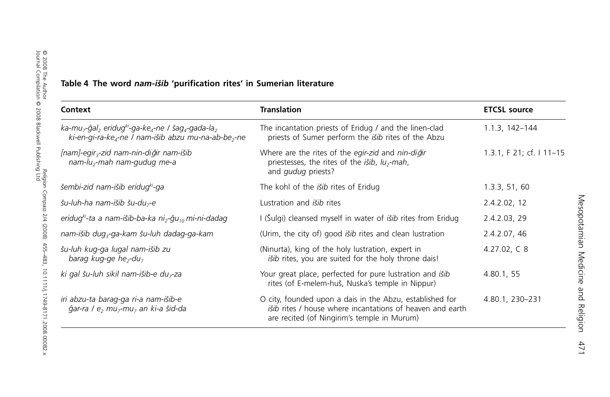| Context                                                                                                                                                                            | <b>Translation</b>                                                                                                                                                   | <b>ETCSL source</b>       |
|------------------------------------------------------------------------------------------------------------------------------------------------------------------------------------|----------------------------------------------------------------------------------------------------------------------------------------------------------------------|---------------------------|
| ka-mu <sub>z</sub> -ĝal, eridug <sup>ki</sup> -ga-ke <sub>4</sub> -ne / šag <sub>4</sub> -gada-la,<br>ki-en-gi-ra-ke <sub>4</sub> -ne / nam-išib abzu mu-na-ab-be <sub>2</sub> -ne | The incantation priests of Eridug / and the linen-clad<br>priests of Sumer perform the <i>išib</i> rites of the Abzu                                                 | $1.1.3, 142 - 144$        |
| Inam]-egir <sub>3</sub> -zid nam-nin-diĝir nam-išib<br>nam-lu <sub>2</sub> -mah nam-gudug me-a                                                                                     | Where are the rites of the egir-zid and nin-digir<br>priestesses, the rites of the <i>išib</i> , $lu_2$ -mah,<br>and <i>gudug</i> priests?                           | 1.3.1, F 21; cf. $111-15$ |
| šembi-zid nam-išib eridug <sup>ki</sup> -ga                                                                                                                                        | The kohl of the <i>išib</i> rites of Eridug                                                                                                                          | 1.3.3, 51, 60             |
| šu-luh-ha nam-išib šu-du--e                                                                                                                                                        | Lustration and <i>išib</i> rites                                                                                                                                     | 2.4.2.02, 12              |
| eridug <sup>ki</sup> -ta a nam-išib-ba-ka ni <sub>2</sub> -ĝu <sub>10</sub> mi-ni-dadag                                                                                            | I (Šulgi) cleansed myself in water of <i>išib</i> rites from Eridug                                                                                                  | 2.4.2.03, 29              |
| nam-išib dug <sub>3</sub> -ga-kam šu-luh dadag-ga-kam                                                                                                                              | (Urim, the city of) good <i>išib</i> rites and clean lustration                                                                                                      | 2.4.2.07, 46              |
| šu-luh kug-ga lugal nam-išib zu<br>barag kug-ge he <sub>2</sub> -du <sub>z</sub>                                                                                                   | (Ninurta), king of the holy lustration, expert in<br>išib rites, you are suited for the holy throne dais!                                                            | 4.27.02, $\subset$ 8      |
| ki gal šu-luh sikil nam-išib-e du <sub>z</sub> -za                                                                                                                                 | Your great place, perfected for pure lustration and <i>išib</i><br>rites (of E-melem-huš, Nuska's temple in Nippur)                                                  | 4.80.1, 55                |
| iri abzu-ta barag-ga ri-a nam-išib-e<br>$\hat{q}$ ar-ra / e, mu <sub>z</sub> -mu <sub>z</sub> an ki-a šid-da                                                                       | O city, founded upon a dais in the Abzu, established for<br>išib rites / house where incantations of heaven and earth<br>are recited (of Ningirim's temple in Murum) | 4.80.1, 230-231           |

# **Table 4 The word** *nam-išib* **'purification rites' in Sumerian literature**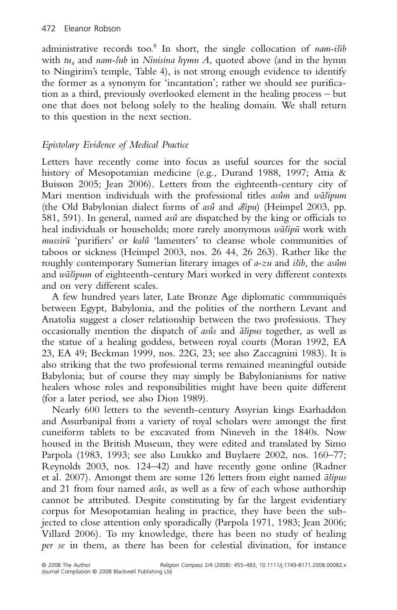administrative records too.<sup>8</sup> In short, the single collocation of *nam-išib* with  $tu_6$  and *nam-šub* in *Ninisina hymn A*, quoted above (and in the hymn to Ningirim's temple, Table 4), is not strong enough evidence to identify the former as a synonym for 'incantation'; rather we should see purification as a third, previously overlooked element in the healing process – but one that does not belong solely to the healing domain. We shall return to this question in the next section.

# *Epistolary Evidence of Medical Practice*

Letters have recently come into focus as useful sources for the social history of Mesopotamian medicine (e.g., Durand 1988, 1997; Attia & Buisson 2005; Jean 2006). Letters from the eighteenth-century city of Mari mention individuals with the professional titles *asûm* and *w*â*šipum* (the Old Babylonian dialect forms of *asû* and â*šipu*) (Heimpel 2003, pp. 581, 591). In general, named *asû* are dispatched by the king or officials to heal individuals or households; more rarely anonymous *w*â*šip*û work with *mussir*û 'purifiers' or *kalû* 'lamenters' to cleanse whole communities of taboos or sickness (Heimpel 2003, nos. 26 44, 26 263). Rather like the roughly contemporary Sumerian literary images of *a-zu* and *išib*, the *asûm* and *w*â*šipum* of eighteenth-century Mari worked in very different contexts and on very different scales.

A few hundred years later, Late Bronze Age diplomatic communiqués between Egypt, Babylonia, and the polities of the northern Levant and Anatolia suggest a closer relationship between the two professions. They occasionally mention the dispatch of *asûs* and â*šipus* together, as well as the statue of a healing goddess, between royal courts (Moran 1992, EA 23, EA 49; Beckman 1999, nos. 22G, 23; see also Zaccagnini 1983). It is also striking that the two professional terms remained meaningful outside Babylonia; but of course they may simply be Babylonianisms for native healers whose roles and responsibilities might have been quite different (for a later period, see also Dion 1989).

Nearly 600 letters to the seventh-century Assyrian kings Esarhaddon and Assurbanipal from a variety of royal scholars were amongst the first cuneiform tablets to be excavated from Nineveh in the 1840s. Now housed in the British Museum, they were edited and translated by Simo Parpola (1983, 1993; see also Luukko and Buylaere 2002, nos. 160–77; Reynolds 2003, nos. 124–42) and have recently gone online (Radner et al. 2007). Amongst them are some 126 letters from eight named â*šipus* and 21 from four named *asûs*, as well as a few of each whose authorship cannot be attributed. Despite constituting by far the largest evidentiary corpus for Mesopotamian healing in practice, they have been the subjected to close attention only sporadically (Parpola 1971, 1983; Jean 2006; Villard 2006). To my knowledge, there has been no study of healing *per se* in them, as there has been for celestial divination, for instance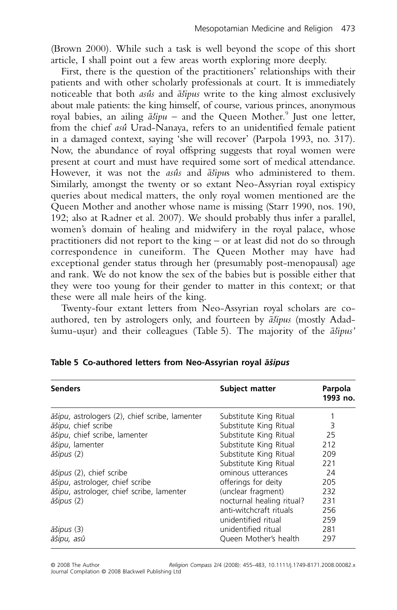(Brown 2000). While such a task is well beyond the scope of this short article, I shall point out a few areas worth exploring more deeply.

First, there is the question of the practitioners' relationships with their patients and with other scholarly professionals at court. It is immediately noticeable that both *asûs* and â*šipus* write to the king almost exclusively about male patients: the king himself, of course, various princes, anonymous royal babies, an ailing  $\bar{a}$ *šipu* – and the Queen Mother.<sup>9</sup> Just one letter, from the chief *asû* Urad-Nanaya, refers to an unidentified female patient in a damaged context, saying 'she will recover' (Parpola 1993, no. 317). Now, the abundance of royal offspring suggests that royal women were present at court and must have required some sort of medical attendance. However, it was not the *asûs* and â*šipu*s who administered to them. Similarly, amongst the twenty or so extant Neo-Assyrian royal extispicy queries about medical matters, the only royal women mentioned are the Queen Mother and another whose name is missing (Starr 1990, nos. 190, 192; also at Radner et al. 2007). We should probably thus infer a parallel, women's domain of healing and midwifery in the royal palace, whose practitioners did not report to the king – or at least did not do so through correspondence in cuneiform. The Queen Mother may have had exceptional gender status through her (presumably post-menopausal) age and rank. We do not know the sex of the babies but is possible either that they were too young for their gender to matter in this context; or that these were all male heirs of the king.

Twenty-four extant letters from Neo-Assyrian royal scholars are coauthored, ten by astrologers only, and fourteen by â*šipus* (mostly Adadšumu-ušur) and their colleagues (Table 5). The majority of the â*šipus'*

| <b>Senders</b>                                 | <b>Subject matter</b>     | Parpola<br>1993 no. |
|------------------------------------------------|---------------------------|---------------------|
| āšipu, astrologers (2), chief scribe, lamenter | Substitute King Ritual    |                     |
| āšipu, chief scribe                            | Substitute King Ritual    | 3                   |
| āšipu, chief scribe, lamenter                  | Substitute King Ritual    | 25                  |
| āšipu, lamenter                                | Substitute King Ritual    | 212                 |
| āšipus (2)                                     | Substitute King Ritual    | 209                 |
|                                                | Substitute King Ritual    | 221                 |
| āšipus (2), chief scribe                       | ominous utterances        | 24                  |
| āšipu, astrologer, chief scribe                | offerings for deity       | 205                 |
| āšipu, astrologer, chief scribe, lamenter      | (unclear fragment)        | 232                 |
| āšipus (2)                                     | nocturnal healing ritual? | 231                 |
|                                                | anti-witchcraft rituals   | 256                 |
|                                                | unidentified ritual       | 259                 |
| āšipus (3)                                     | unidentified ritual       | 281                 |
| āšipu, asû                                     | Oueen Mother's health     | 297                 |

#### Table 5 Co-authored letters from Neo-Assyrian royal  $\overline{\tilde{a}}$ *sipus*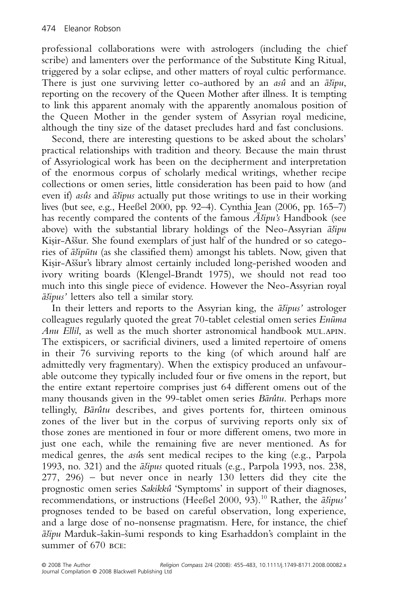professional collaborations were with astrologers (including the chief scribe) and lamenters over the performance of the Substitute King Ritual, triggered by a solar eclipse, and other matters of royal cultic performance. There is just one surviving letter co-authored by an *asû* and an â*šipu*, reporting on the recovery of the Queen Mother after illness. It is tempting to link this apparent anomaly with the apparently anomalous position of the Queen Mother in the gender system of Assyrian royal medicine, although the tiny size of the dataset precludes hard and fast conclusions.

Second, there are interesting questions to be asked about the scholars' practical relationships with tradition and theory. Because the main thrust of Assyriological work has been on the decipherment and interpretation of the enormous corpus of scholarly medical writings, whether recipe collections or omen series, little consideration has been paid to how (and even if) *asûs* and â*šipus* actually put those writings to use in their working lives (but see, e.g., Heeßel 2000, pp. 92–4). Cynthia Jean (2006, pp. 165–7) has recently compared the contents of the famous Ä*šipu's* Handbook (see above) with the substantial library holdings of the Neo-Assyrian â*šipu* Kišir-Aššur. She found exemplars of just half of the hundred or so categories of â*šip*û*tu* (as she classified them) amongst his tablets. Now, given that Kišir-Aššur's library almost certainly included long-perished wooden and ivory writing boards (Klengel-Brandt 1975), we should not read too much into this single piece of evidence. However the Neo-Assyrian royal â*šipus'* letters also tell a similar story.

In their letters and reports to the Assyrian king, the â*šipus'* astrologer colleagues regularly quoted the great 70-tablet celestial omen series *En*û*ma Anu Ellil*, as well as the much shorter astronomical handbook MUL.APIN. The extispicers, or sacrificial diviners, used a limited repertoire of omens in their 76 surviving reports to the king (of which around half are admittedly very fragmentary). When the extispicy produced an unfavourable outcome they typically included four or five omens in the report, but the entire extant repertoire comprises just 64 different omens out of the many thousands given in the 99-tablet omen series *B*â*rûtu*. Perhaps more tellingly, *B*â*rûtu* describes, and gives portents for, thirteen ominous zones of the liver but in the corpus of surviving reports only six of those zones are mentioned in four or more different omens, two more in just one each, while the remaining five are never mentioned. As for medical genres, the *asû*s sent medical recipes to the king (e.g., Parpola 1993, no. 321) and the â*šipus* quoted rituals (e.g., Parpola 1993, nos. 238, 277, 296) – but never once in nearly 130 letters did they cite the prognostic omen series *Sakikkû* 'Symptoms' in support of their diagnoses, recommendations, or instructions (Heeßel 2000, 93).10 Rather, the â*šipus'* prognoses tended to be based on careful observation, long experience, and a large dose of no-nonsense pragmatism. Here, for instance, the chief â*šipu* Marduk-šakin-šumi responds to king Esarhaddon's complaint in the summer of 670 BCF.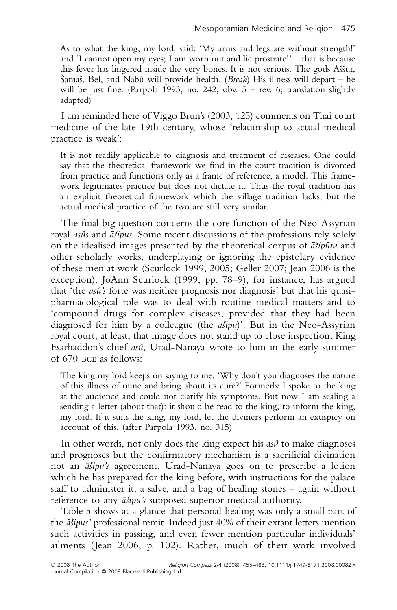As to what the king, my lord, said: 'My arms and legs are without strength!' and 'I cannot open my eyes; I am worn out and lie prostrate!' – that is because this fever has lingered inside the very bones. It is not serious. The gods Aššur, Šamaš, Bel, and Nabû will provide health. (*Break*) His illness will depart – he will be just fine. (Parpola 1993, no. 242, obv.  $5 - \text{rev. } 6$ ; translation slightly adapted)

I am reminded here of Viggo Brun's (2003, 125) comments on Thai court medicine of the late 19th century, whose 'relationship to actual medical practice is weak':

It is not readily applicable to diagnosis and treatment of diseases. One could say that the theoretical framework we find in the court tradition is divorced from practice and functions only as a frame of reference, a model. This framework legitimates practice but does not dictate it. Thus the royal tradition has an explicit theoretical framework which the village tradition lacks, but the actual medical practice of the two are still very similar.

The final big question concerns the core function of the Neo-Assyrian royal *asûs* and â*šipus*. Some recent discussions of the professions rely solely on the idealised images presented by the theoretical corpus of â*šip*û*tu* and other scholarly works, underplaying or ignoring the epistolary evidence of these men at work (Scurlock 1999, 2005; Geller 2007; Jean 2006 is the exception). JoAnn Scurlock (1999, pp. 78–9), for instance, has argued that 'the *asû's* forte was neither prognosis nor diagnosis' but that his quasipharmacological role was to deal with routine medical matters and to 'compound drugs for complex diseases, provided that they had been diagnosed for him by a colleague (the â*šipu*)'. But in the Neo-Assyrian royal court, at least, that image does not stand up to close inspection. King Esarhaddon's chief *asû*, Urad-Nanaya wrote to him in the early summer of 670 bce as follows:

The king my lord keeps on saying to me, 'Why don't you diagnoses the nature of this illness of mine and bring about its cure?' Formerly I spoke to the king at the audience and could not clarify his symptoms. But now I am sealing a sending a letter (about that): it should be read to the king, to inform the king, my lord. If it suits the king, my lord, let the diviners perform an extispicy on account of this. (after Parpola 1993, no. 315)

In other words, not only does the king expect his *asû* to make diagnoses and prognoses but the confirmatory mechanism is a sacrificial divination not an â*šipu's* agreement. Urad-Nanaya goes on to prescribe a lotion which he has prepared for the king before, with instructions for the palace staff to administer it, a salve, and a bag of healing stones – again without reference to any â*šipu's* supposed superior medical authority.

Table 5 shows at a glance that personal healing was only a small part of the â*šipus'* professional remit. Indeed just 40% of their extant letters mention such activities in passing, and even fewer mention particular individuals' ailments (Jean 2006, p. 102). Rather, much of their work involved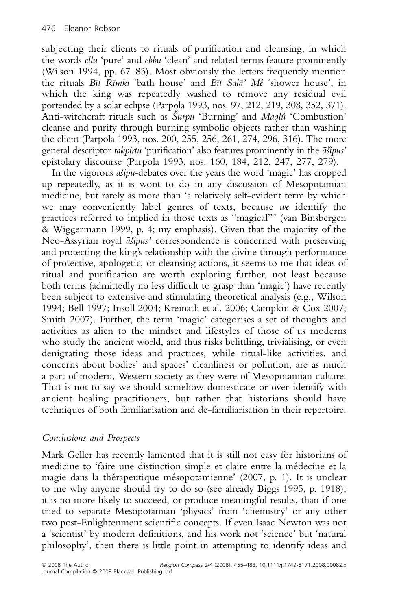subjecting their clients to rituals of purification and cleansing, in which the words *ellu* 'pure' and *ebbu* 'clean' and related terms feature prominently (Wilson 1994, pp. 67–83). Most obviously the letters frequently mention the rituals *B*ï*t R*ï*mki* 'bath house' and *B*ï*t Sal*â*' Mê* 'shower house', in which the king was repeatedly washed to remove any residual evil portended by a solar eclipse (Parpola 1993, nos. 97, 212, 219, 308, 352, 371). Anti-witchcraft rituals such as *Šurpu* 'Burning' and *Maqlû* 'Combustion' cleanse and purify through burning symbolic objects rather than washing the client (Parpola 1993, nos. 200, 255, 256, 261, 274, 296, 316). The more general descriptor *takpirtu* 'purification' also features prominently in the â*šipus'* epistolary discourse (Parpola 1993, nos. 160, 184, 212, 247, 277, 279).

In the vigorous â*šipu-*debates over the years the word 'magic' has cropped up repeatedly, as it is wont to do in any discussion of Mesopotamian medicine, but rarely as more than 'a relatively self-evident term by which we may conveniently label genres of texts, because *we* identify the practices referred to implied in those texts as "magical"' (van Binsbergen & Wiggermann 1999, p. 4; my emphasis). Given that the majority of the Neo-Assyrian royal â*šipus'* correspondence is concerned with preserving and protecting the king's relationship with the divine through performance of protective, apologetic, or cleansing actions, it seems to me that ideas of ritual and purification are worth exploring further, not least because both terms (admittedly no less difficult to grasp than 'magic') have recently been subject to extensive and stimulating theoretical analysis (e.g., Wilson 1994; Bell 1997; Insoll 2004; Kreinath et al. 2006; Campkin & Cox 2007; Smith 2007). Further, the term 'magic' categorises a set of thoughts and activities as alien to the mindset and lifestyles of those of us moderns who study the ancient world, and thus risks belittling, trivialising, or even denigrating those ideas and practices, while ritual-like activities, and concerns about bodies' and spaces' cleanliness or pollution, are as much a part of modern, Western society as they were of Mesopotamian culture. That is not to say we should somehow domesticate or over-identify with ancient healing practitioners, but rather that historians should have techniques of both familiarisation and de-familiarisation in their repertoire.

## *Conclusions and Prospects*

Mark Geller has recently lamented that it is still not easy for historians of medicine to 'faire une distinction simple et claire entre la médecine et la magie dans la thérapeutique mésopotamienne' (2007, p. 1). It is unclear to me why anyone should try to do so (see already Biggs 1995, p. 1918); it is no more likely to succeed, or produce meaningful results, than if one tried to separate Mesopotamian 'physics' from 'chemistry' or any other two post-Enlightenment scientific concepts. If even Isaac Newton was not a 'scientist' by modern definitions, and his work not 'science' but 'natural philosophy', then there is little point in attempting to identify ideas and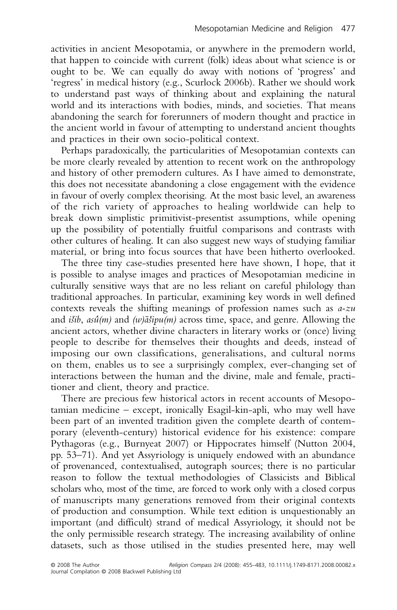activities in ancient Mesopotamia, or anywhere in the premodern world, that happen to coincide with current (folk) ideas about what science is or ought to be. We can equally do away with notions of 'progress' and 'regress' in medical history (e.g., Scurlock 2006b). Rather we should work to understand past ways of thinking about and explaining the natural world and its interactions with bodies, minds, and societies. That means abandoning the search for forerunners of modern thought and practice in the ancient world in favour of attempting to understand ancient thoughts and practices in their own socio-political context.

Perhaps paradoxically, the particularities of Mesopotamian contexts can be more clearly revealed by attention to recent work on the anthropology and history of other premodern cultures. As I have aimed to demonstrate, this does not necessitate abandoning a close engagement with the evidence in favour of overly complex theorising. At the most basic level, an awareness of the rich variety of approaches to healing worldwide can help to break down simplistic primitivist-presentist assumptions, while opening up the possibility of potentially fruitful comparisons and contrasts with other cultures of healing. It can also suggest new ways of studying familiar material, or bring into focus sources that have been hitherto overlooked.

The three tiny case-studies presented here have shown, I hope, that it is possible to analyse images and practices of Mesopotamian medicine in culturally sensitive ways that are no less reliant on careful philology than traditional approaches. In particular, examining key words in well defined contexts reveals the shifting meanings of profession names such as *a-zu* and *išib*, *asû(m)* and *(w)*â*šipu(m)* across time, space, and genre. Allowing the ancient actors, whether divine characters in literary works or (once) living people to describe for themselves their thoughts and deeds, instead of imposing our own classifications, generalisations, and cultural norms on them, enables us to see a surprisingly complex, ever-changing set of interactions between the human and the divine, male and female, practitioner and client, theory and practice.

There are precious few historical actors in recent accounts of Mesopotamian medicine – except, ironically Esagil-kin-apli, who may well have been part of an invented tradition given the complete dearth of contemporary (eleventh-century) historical evidence for his existence: compare Pythagoras (e.g., Burnyeat 2007) or Hippocrates himself (Nutton 2004, pp. 53–71). And yet Assyriology is uniquely endowed with an abundance of provenanced, contextualised, autograph sources; there is no particular reason to follow the textual methodologies of Classicists and Biblical scholars who, most of the time, are forced to work only with a closed corpus of manuscripts many generations removed from their original contexts of production and consumption. While text edition is unquestionably an important (and difficult) strand of medical Assyriology, it should not be the only permissible research strategy. The increasing availability of online datasets, such as those utilised in the studies presented here, may well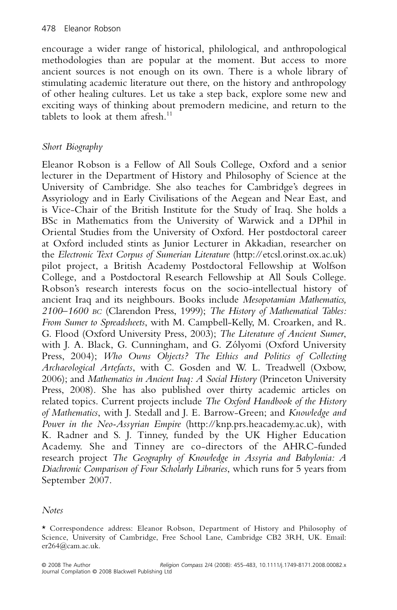encourage a wider range of historical, philological, and anthropological methodologies than are popular at the moment. But access to more ancient sources is not enough on its own. There is a whole library of stimulating academic literature out there, on the history and anthropology of other healing cultures. Let us take a step back, explore some new and exciting ways of thinking about premodern medicine, and return to the tablets to look at them afresh. $^{11}$ 

## *Short Biography*

Eleanor Robson is a Fellow of All Souls College, Oxford and a senior lecturer in the Department of History and Philosophy of Science at the University of Cambridge. She also teaches for Cambridge's degrees in Assyriology and in Early Civilisations of the Aegean and Near East, and is Vice-Chair of the British Institute for the Study of Iraq. She holds a BSc in Mathematics from the University of Warwick and a DPhil in Oriental Studies from the University of Oxford. Her postdoctoral career at Oxford included stints as Junior Lecturer in Akkadian, researcher on the *Electronic Text Corpus of Sumerian Literature* [\(http://etcsl.orinst.ox.ac.uk\)](http://etcsl.orinst.ox.ac.uk) pilot project, a British Academy Postdoctoral Fellowship at Wolfson College, and a Postdoctoral Research Fellowship at All Souls College. Robson's research interests focus on the socio-intellectual history of ancient Iraq and its neighbours. Books include *Mesopotamian Mathematics, 2100–1600 BC* (Clarendon Press, 1999); *The History of Mathematical Tables: From Sumer to Spreadsheets*, with M. Campbell-Kelly, M. Croarken, and R. G. Flood (Oxford University Press, 2003); *The Literature of Ancient Sumer*, with J. A. Black, G. Cunningham, and G. Zólyomi (Oxford University Press, 2004); *Who Owns Objects? The Ethics and Politics of Collecting Archaeological Artefacts*, with C. Gosden and W. L. Treadwell (Oxbow, 2006); and *Mathematics in Ancient Iraq: A Social History* (Princeton University Press, 2008). She has also published over thirty academic articles on related topics. Current projects include *The Oxford Handbook of the History of Mathematics*, with J. Stedall and J. E. Barrow-Green; and *Knowledge and Power in the Neo-Assyrian Empire* [\(http://knp.prs.heacademy.ac.uk\),](http://knp.prs.heacademy.ac.uk) with K. Radner and S. J. Tinney, funded by the UK Higher Education Academy. She and Tinney are co-directors of the AHRC-funded research project *The Geography of Knowledge in Assyria and Babylonia: A Diachronic Comparison of Four Scholarly Libraries*, which runs for 5 years from September 2007.

*Notes*

<sup>\*</sup> Correspondence address: Eleanor Robson, Department of History and Philosophy of Science, University of Cambridge, Free School Lane, Cambridge CB2 3RH, UK. Email: er264@cam.ac.uk.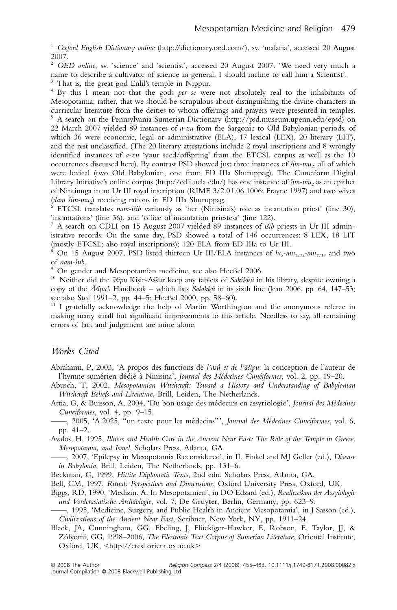<sup>1</sup> *Oxford English Dictionary online* [\(http://dictionary.oed.com/\),](http://dictionary.oed.com/) sv. 'malaria', accessed 20 August 2007.

<sup>2</sup> *OED online*, sv. 'science' and 'scientist', accessed 20 August 2007. 'We need very much a name to describe a cultivator of science in general. I should incline to call him a Scientist'.  $3$  That is, the great god Enlil's temple in Nippur.

<sup>4</sup> By this I mean not that the gods *per se* were not absolutely real to the inhabitants of Mesopotamia; rather, that we should be scrupulous about distinguishing the divine characters in curricular literature from the deities to whom offerings and prayers were presented in temples.

<sup>5</sup> A search on the Pennsylvania Sumerian Dictionary [\(http://psd.museum.upenn.edu/epsd\)](http://psd.museum.upenn.edu/epsd) on 22 March 2007 yielded 89 instances of *a-zu* from the Sargonic to Old Babylonian periods, of which 36 were economic, legal or administrative (ELA), 17 lexical (LEX), 20 literary (LIT), and the rest unclassified. (The 20 literary attestations include 2 royal inscriptions and 8 wrongly identified instances of *a-zu* 'your seed/offspring' from the ETCSL corpus as well as the 10 occurrences discussed here). By contrast PSD showed just three instances of  $\delta m-mu_2$ , all of which were lexical (two Old Babylonian, one from ED IIIa Shuruppag). The Cuneiform Digital Library Initiative's online corpus [\(http://cdli.ucla.edu/\)](http://cdli.ucla.edu/) has one instance of  $\lim_{n \to \infty}$  as an epithet of Nintinuga in an Ur III royal inscription (RIME 3/2.01.06.1006: Frayne 1997) and two wives

(*dam šim-mu*2) receiving rations in ED IIIa Shuruppag. <sup>6</sup> ETCSL translates *nam-išib* variously as 'her (Ninisina's) role as incantation priest' (line 30), 'incantations' (line 36), and 'office of incantation priestess' (line 122).

<sup>7</sup> A search on CDLI on 15 August 2007 yielded 89 instances of *išib* priests in Ur III administrative records. On the same day, PSD showed a total of 146 occurrences: 8 LEX, 18 LIT (mostly ETCSL; also royal inscriptions); 120 ELA from ED IIIa to Ur III.

<sup>8</sup> On 15 August 2007, PSD listed thirteen Ur III/ELA instances of  $\mu_2$ -mu<sub>7/13</sub>-mu<sub>7/13</sub> and two of *nam-šub*.

<sup>9</sup> On gender and Mesopotamian medicine, see also Heeßel 2006.

<sup>10</sup> Neither did the  $\tilde{a}$ *šipu* Kiṣir-Aššur keep any tablets of *Sakikkû* in his library, despite owning a copy of the Ä*šipu's* Handbook – which lists *Sakikkû* in its sixth line (Jean 2006, pp. 64, 147–53; see also Stol 1991–2, pp. 44–5; Heeßel 2000, pp. 58–60).

 $11$  I gratefully acknowledge the help of Martin Worthington and the anonymous referee in making many small but significant improvements to this article. Needless to say, all remaining errors of fact and judgement are mine alone.

#### *Works Cited*

Abrahami, P, 2003, 'A propos des functions de *l'asû et de l'*â*šipu*: la conception de l'auteur de l'hymne sumérien dédié à Ninisina', *Journal des Médecines Cunéiformes*, vol. 2, pp. 19–20.

Abusch, T, 2002, *Mesopotamian Witchcraft: Toward a History and Understanding of Babylonian Witchcraft Beliefs and Literature*, Brill, Leiden, The Netherlands.

- Attia, G, & Buisson, A, 2004, 'Du bon usage des médecins en assyriologie', *Journal des Médecines Cuneiformes*, vol. 4, pp. 9–15.
- ––––, 2005, 'A.2025, "un texte pour les médecins"', *Journal des Médecines Cuneiformes*, vol. 6, pp. 41–2.
- Avalos, H, 1995, *Illness and Health Care in the Ancient Near East: The Role of the Temple in Greece, Mesopotamia, and Israel*, Scholars Press, Atlanta, GA.

––––, 2007, 'Epilepsy in Mesopotamia Reconsidered', in IL Finkel and MJ Geller (ed.), *Disease in Babylonia*, Brill, Leiden, The Netherlands, pp. 131–6.

Beckman, G, 1999, *Hittite Diplomatic Texts*, 2nd edn, Scholars Press, Atlanta, GA.

Bell, CM, 1997, *Ritual: Perspectives and Dimensions*, Oxford University Press, Oxford, UK.

- Biggs, RD, 1990, 'Medizin. A. In Mesopotamien', in DO Edzard (ed.), *Reallexikon der Assyiologie und Vorderasiatische Archäologie*, vol. 7, De Gruyter, Berlin, Germany, pp. 623–9.
- ––––, 1995, 'Medicine, Surgery, and Public Health in Ancient Mesopotamia', in J Sasson (ed.), *Civilizations of the Ancient Near East*, Scribner, New York, NY, pp. 1911–24.
- Black, JA, Cunningham, GG, Ebeling, J, Flückiger-Hawker, E, Robson, E, Taylor, JJ, & Zólyomi, GG, 1998–2006, *The Electronic Text Corpus of Sumerian Literature*, Oriental Institute, Oxford, UK, [<http://etcsl.orient.ox.ac.uk>.](http://etcsl.orient.ox.ac.uk)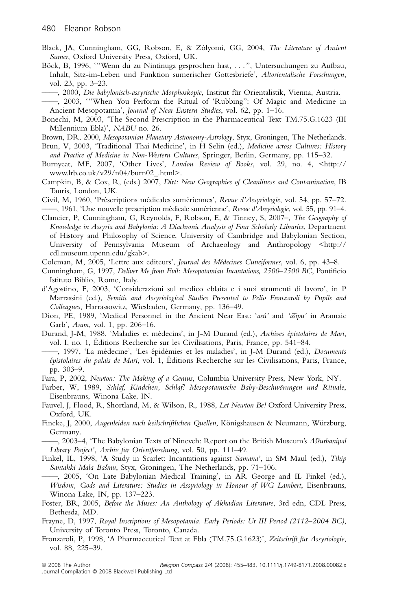- Black, JA, Cunningham, GG, Robson, E, & Zólyomi, GG, 2004, *The Literature of Ancient Sumer*, Oxford University Press, Oxford, UK.
- Böck, B, 1996, '"Wenn du zu Nintinuga gesprochen hast, . . . ", Untersuchungen zu Aufbau, Inhalt, Sitz-im-Leben und Funktion sumerischer Gottesbriefe', *Altorientalische Forschungen*, vol. 23, pp. 3–23.

––––, 2000, *Die babylonisch-assyrische Morphoskopie*, Institut für Orientalistik, Vienna, Austria.

––––, 2003, '"When You Perform the Ritual of 'Rubbing": Of Magic and Medicine in Ancient Mesopotamia', *Journal of Near Eastern Studies*, vol. 62, pp. 1–16.

- Bonechi, M, 2003, 'The Second Prescription in the Pharmaceutical Text TM.75.G.1623 (III Millennium Ebla)', *NABU* no. 26.
- Brown, DR, 2000, *Mesopotamian Planetary Astronomy-Astrology*, Styx, Groningen, The Netherlands.
- Brun, V, 2003, 'Traditional Thai Medicine', in H Selin (ed.), *Medicine across Cultures: History and Practice of Medicine in Non-Western Cultures*, Springer, Berlin, Germany, pp. 115–32.
- [Burnyeat, MF, 2007, 'Other Lives',](http://www.lrb.co.uk/v29/n04/burn02_.html) *London Review of Books*, vol. 29, no. 4, <http:// www.lrb.co.uk/v29/n04/burn02\_.html>.
- Campkin, B, & Cox, R, (eds.) 2007, *Dirt: New Geographies of Cleanliness and Contamination*, IB Tauris, London, UK.
- Civil, M, 1960, 'Préscriptions médicales sumériennes', *Revue d'Assyriologie*, vol. 54, pp. 57–72.

––––, 1961, 'Une nouvelle prescription médicale sumérienne', *Revue d'Assyriologie*, vol. 55, pp. 91–4.

Clancier, P, Cunningham, G, Reynolds, F, Robson, E, & Tinney, S, 2007–, *The Geography of Knowledge in Assyria and Babylonia: A Diachronic Analysis of Four Scholarly Libraries*, Department of History and Philosophy of Science, University of Cambridge and Babylonian Section, [University of Pennsylvania Museum of Archaeology and Anthropology <http://](http://cdl.museum.upenn.edu/gkab) cdl.museum.upenn.edu/gkab>.

Coleman, M, 2005, 'Lettre aux editeurs', *Journal des Médecines Cuneiformes*, vol. 6, pp. 43–8.

- Cunningham, G, 1997, *Deliver Me from Evil: Mesopotamian Incantations, 2500–2500 BC*, Pontificio Istituto Biblio, Rome, Italy.
- d'Agostino, F, 2003, 'Considerazioni sul medico eblaita e i suoi strumenti di lavoro', in P Marrassini (ed.), *Semitic and Assyriological Studies Presented to Pelio Fronzaroli by Pupils and Colleagues*, Harrassowitz, Wiesbaden, Germany, pp. 136–49.
- Dion, PE, 1989, 'Medical Personnel in the Ancient Near East: '*asû'* and *'*â*šipu'* in Aramaic Garb', *Aram*, vol. 1, pp. 206–16.
- Durand, J-M, 1988, 'Maladies et médecins', in J-M Durand (ed.), *Archives épistolaires de Mari*, vol. I, no. 1, Éditions Recherche sur les Civilisations, Paris, France, pp. 541–84.
- ––––, 1997, 'La médecine', 'Les épidémies et les maladies', in J-M Durand (ed.), *Documents épistolaires du palais de Mari*, vol. 1, Éditions Recherche sur les Civilisations, Paris, France, pp. 303–9.

Fara, P, 2002, *Newton: The Making of a Genius*, Columbia University Press, New York, NY.

Farber, W, 1989, *Schlaf, Kindchen, Schlaf! Mesopotamische Baby-Beschwörungen und Rituale*, Eisenbrauns, Winona Lake, IN.

Fauvel, J, Flood, R, Shortland, M, & Wilson, R, 1988, *Let Newton Be!* Oxford University Press, Oxford, UK.

Fincke, J, 2000, *Augenleiden nach keilschriftlichen Quellen*, Königshausen & Neumann, Würzburg, Germany.

––––, 2003–4, 'The Babylonian Texts of Nineveh: Report on the British Museum's *Aššurbanipal Library Project'*, *Archiv für Orientforschung*, vol. 50, pp. 111–49.

Finkel, IL, 1998, 'A Study in Scarlet: Incantations against *Samana'*, in SM Maul (ed.), *Tikip Santakki Mala Bašmu*, Styx, Groningen, The Netherlands, pp. 71–106.

––––, 2005, 'On Late Babylonian Medical Training', in AR George and IL Finkel (ed.), *Wisdom, Gods and Literature: Studies in Assyriology in Honour of WG Lambert*, Eisenbrauns, Winona Lake, IN, pp. 137–223.

Foster, BR, 2005, *Before the Muses: An Anthology of Akkadian Literature*, 3rd edn, CDL Press, Bethesda, MD.

- Frayne, D, 1997, *Royal Inscriptions of Mesopotamia. Early Periods: Ur III Period (2112–2004 BC)*, University of Toronto Press, Toronto, Canada.
- Fronzaroli, P, 1998, 'A Pharmaceutical Text at Ebla (TM.75.G.1623)', *Zeitschrift für Assyriologie*, vol. 88, 225–39.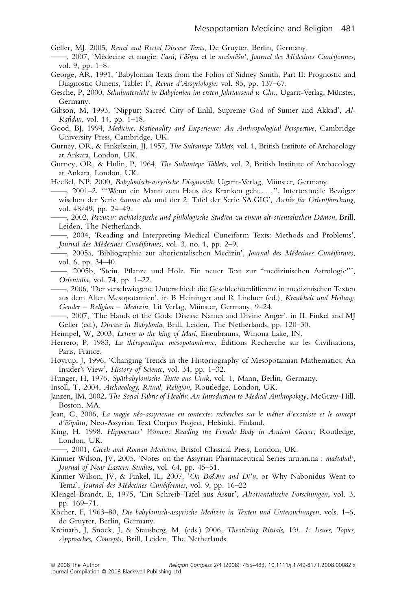Geller, MJ, 2005, *Renal and Rectal Disease Texts*, De Gruyter, Berlin, Germany.

- ––––, 2007, 'Médecine et magie: *l'asû, l'âšipu* et le *mašmâšu'*, *Journal des Médecines Cunéiformes*, vol. 9, pp. 1–8.
- George, AR, 1991, 'Babylonian Texts from the Folios of Sidney Smith, Part II: Prognostic and Diagnostic Omens, Tablet I', *Revue d'Assyriologie*, vol. 85, pp. 137–67.
- Gesche, P, 2000, *Schulunterricht in Babylonien im ersten Jahrtausend v. Chr*., Ugarit-Verlag, Münster, Germany.
- Gibson, M, 1993, 'Nippur: Sacred City of Enlil, Supreme God of Sumer and Akkad', *Al-Rafidan*, vol. 14, pp. 1–18.
- Good, BJ, 1994, *Medicine, Rationality and Experience: An Anthropological Perspective*, Cambridge University Press, Cambridge, UK.
- Gurney, OR, & Finkelstein, JJ, 1957, *The Sultantepe Tablets*, vol. 1, British Institute of Archaeology at Ankara, London, UK.
- Gurney, OR, & Hulin, P, 1964, *The Sultantepe Tablets*, vol. 2, British Institute of Archaeology at Ankara, London, UK.

Heeßel, NP, 2000, *Babylonisch-assyrische Diagnostik*, Ugarit-Verlag, Münster, Germany.

––––, 2001–2, '"Wenn ein Mann zum Haus des Kranken geht . . . ". Intertextuelle Bezügez wischen der Serie *šumma alu* und der 2. Tafel der Serie SA.GIG', *Archiv für Orientforschung*, vol. 48/49, pp. 24–49.

––––, 2002, *Pazuzu: archäologische und philologische Studien zu einem alt-orientalischen Dämon*, Brill, Leiden, The Netherlands.

- ––––, 2004, 'Reading and Interpreting Medical Cuneiform Texts: Methods and Problems', *Journal des Médecines Cunéiformes*, vol. 3, no. 1, pp. 2–9.
- ––––, 2005a, 'Bibliographie zur altorientalischen Medizin', *Journal des Médecines Cunéiformes*, vol. 6, pp. 34–40.
- ––––, 2005b, 'Stein, Pflanze und Holz. Ein neuer Text zur "medizinischen Astrologie"', *Orientalia*, vol. 74, pp. 1–22.
- ––––, 2006, 'Der verschwiegene Unterschied: die Geschlechterdifferenz in medizinischen Texten aus dem Alten Mesopotamien', in B Heininger and R Lindner (ed.), *Krankheit und Heilung. Gender – Religion – Medizin*, Lit Verlag, Münster, Germany, 9–24.

––––, 2007, 'The Hands of the Gods: Disease Names and Divine Anger', in IL Finkel and MJ Geller (ed.), *Disease in Babylonia*, Brill, Leiden, The Netherlands, pp. 120–30.

- Heimpel, W, 2003, *Letters to the king of Mari*, Eisenbrauns, Winona Lake, IN.
- Herrero, P, 1983, *La thérapeutique mésopotamienne*, Éditions Recherche sur les Civilisations, Paris, France.
- Høyrup, J, 1996, 'Changing Trends in the Historiography of Mesopotamian Mathematics: An Insider's View', *History of Science*, vol. 34, pp. 1–32.
- Hunger, H, 1976, *Spätbabylonische Texte aus Uruk*, vol. 1, Mann, Berlin, Germany.
- Insoll, T, 2004, *Archaeology, Ritual, Religion*, Routledge, London, UK.
- Janzen, JM, 2002, *The Social Fabric of Health: An Introduction to Medical Anthropology*, McGraw-Hill, Boston, MA.
- Jean, C, 2006, *La magie néo-assyrienne en contexte: recherches sur le métier d'exorciste et le concept d'*â*šip*û*tu*, Neo-Assyrian Text Corpus Project, Helsinki, Finland.
- King, H, 1998, *Hippocrates' Women: Reading the Female Body in Ancient Greece*, Routledge, London, UK.
- ––––, 2001, *Greek and Roman Medicine*, Bristol Classical Press, London, UK.

Kinnier Wilson, JV, 2005, 'Notes on the Assyrian Pharmaceutical Series uru.an.na : *maštakal'*, *Journal of Near Eastern Studies*, vol. 64, pp. 45–51.

Kinnier Wilson, JV, & Finkel, IL, 2007, '*On B*û*š*â*nu and Di'u*, or Why Nabonidus Went to Tema', *Journal des Médecines Cunéiformes*, vol. 9, pp. 16–22

- Klengel-Brandt, E, 1975, 'Ein Schreib-Tafel aus Assur', *Altorientalische Forschungen*, vol. 3, pp. 169–71.
- Köcher, F, 1963–80, *Die babylonisch-assyrische Medizin in Texten und Untersuchungen*, vols. 1–6, de Gruyter, Berlin, Germany.
- Kreinath, J, Snoek, J, & Stausberg, M, (eds.) 2006, *Theorizing Rituals, Vol. 1: Issues, Topics, Approaches, Concepts*, Brill, Leiden, The Netherlands.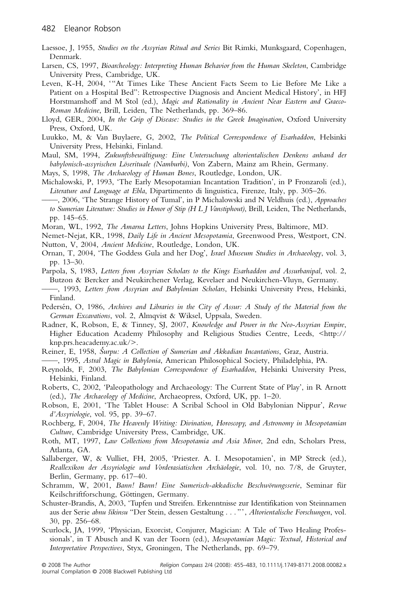- Laessoe, J, 1955, *Studies on the Assyrian Ritual and Series* Bit Rimki, Munksgaard, Copenhagen, Denmark.
- Larsen, CS, 1997, *Bioarcheology: Interpreting Human Behavior from the Human Skeleton*, Cambridge University Press, Cambridge, UK.
- Leven, K-H, 2004, '"At Times Like These Ancient Facts Seem to Lie Before Me Like a Patient on a Hospital Bed": Retrospective Diagnosis and Ancient Medical History', in HFJ Horstmanshoff and M Stol (ed.), *Magic and Rationality in Ancient Near Eastern and Graeco-Roman Medicine*, Brill, Leiden, The Netherlands, pp. 369–86.
- Lloyd, GER, 2004, *In the Grip of Disease: Studies in the Greek Imagination*, Oxford University Press, Oxford, UK.
- Luukko, M, & Van Buylaere, G, 2002, *The Political Correspondence of Esarhaddon*, Helsinki University Press, Helsinki, Finland.
- Maul, SM, 1994, *Zukunftsbewältigung: Eine Untersuchung altorientalischen Denkens anhand der babylonisch-assyrischen Löserituale (Namburbi)*, Von Zabern, Mainz am Rhein, Germany.
- Mays, S, 1998, *The Archaeology of Human Bones*, Routledge, London, UK.
- Michalowski, P, 1993, 'The Early Mesopotamian Incantation Tradition', in P Fronzaroli (ed.), *Literature and Language at Ebla*, Dipartimento di linguistica, Firenze, Italy, pp. 305–26.
- ––––, 2006, 'The Strange History of Tumal', in P Michalowski and N Veldhuis (ed.), *Approaches to Sumerian Literature: Studies in Honor of Stip (H L J Vanstiphout)*, Brill, Leiden, The Netherlands, pp. 145–65.
- Moran, WL, 1992, *The Amarna Letters*, Johns Hopkins University Press, Baltimore, MD.
- Nemet-Nejat, KR, 1998, *Daily Life in Ancient Mesopotamia*, Greenwood Press, Westport, CN. Nutton, V, 2004, *Ancient Medicine*, Routledge, London, UK.
- Ornan, T, 2004, 'The Goddess Gula and her Dog', *Israel Museum Studies in Archaeology*, vol. 3, pp. 13–30.
- Parpola, S, 1983, *Letters from Assyrian Scholars to the Kings Esarhaddon and Assurbanipal*, vol. 2, Butzon & Bercker and Neukirchener Verlag, Kevelaer and Neukirchen-Vluyn, Germany.
- ––––, 1993, *Letters from Assyrian and Babylonian Scholars*, Helsinki University Press, Helsinki, Finland.
- Pedersén, O, 1986, *Archives and Libraries in the City of Assur: A Study of the Material from the German Excavations*, vol. 2, Almqvist & Wiksel, Uppsala, Sweden.
- Radner, K, Robson, E, & Tinney, SJ, 2007, *Knowledge and Power in the Neo-Assyrian Empire*, [Higher Education Academy Philosophy and Religious Studies Centre, Leeds, <http://](http://knp.prs.heacademy.ac.uk/) knp.prs.heacademy.ac.uk/>.
- Reiner, E, 1958, *Šurpu: A Collection of Sumerian and Akkadian Incantations*, Graz, Austria.
- ––––, 1995, *Astral Magic in Babylonia*, American Philosophical Society, Philadelphia, PA.
- Reynolds, F, 2003, *The Babylonian Correspondence of Esarhaddon*, Helsinki University Press, Helsinki, Finland.
- Roberts, C, 2002, 'Paleopathology and Archaeology: The Current State of Play', in R Arnott (ed.), *The Archaeology of Medicine*, Archaeopress, Oxford, UK, pp. 1–20.
- Robson, E, 2001, 'The Tablet House: A Scribal School in Old Babylonian Nippur', *Revue d'Assyriologie*, vol. 95, pp. 39–67.
- Rochberg, F, 2004, *The Heavenly Writing: Divination, Horoscopy, and Astronomy in Mesopotamian Culture*, Cambridge University Press, Cambridge, UK.
- Roth, MT, 1997, *Law Collections from Mesopotamia and Asia Minor*, 2nd edn, Scholars Press, Atlanta, GA.
- Sallaberger, W, & Vulliet, FH, 2005, 'Priester. A. I. Mesopotamien', in MP Streck (ed.), *Reallexikon der Assyriologie und Vorderasiatischen Archäologie*, vol. 10, no. 7/8, de Gruyter, Berlin, Germany, pp. 617–40.
- Schramm, W, 2001, *Bann! Bann! Eine Sumerisch-akkadische Beschwörungsserie*, Seminar für Keilschriftforschung, Göttingen, Germany.
- Schuster-Brandis, A, 2003, 'Tupfen und Streifen. Erkenntnisse zur Identifikation von Steinnamen aus der Serie *abnu šikinsu* "Der Stein, dessen Gestaltung . . . "', *Altorientalische Forschungen*, vol. 30, pp. 256–68.
- Scurlock, JA, 1999, 'Physician, Exorcist, Conjurer, Magician: A Tale of Two Healing Professionals', in T Abusch and K van der Toorn (ed.), *Mesopotamian Magic: Textual, Historical and Interpretative Perspectives*, Styx, Groningen, The Netherlands, pp. 69–79.